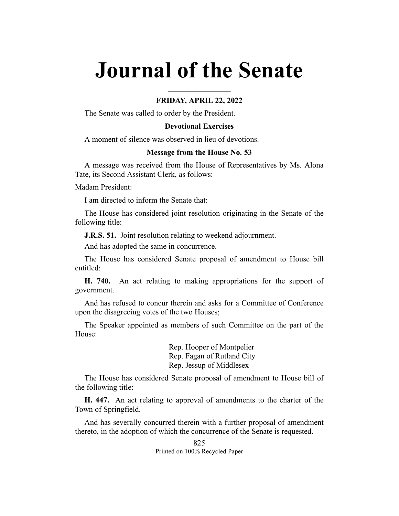# **Journal of the Senate**

## **FRIDAY, APRIL 22, 2022**

**\_\_\_\_\_\_\_\_\_\_\_\_\_\_\_\_**

The Senate was called to order by the President.

## **Devotional Exercises**

A moment of silence was observed in lieu of devotions.

#### **Message from the House No. 53**

A message was received from the House of Representatives by Ms. Alona Tate, its Second Assistant Clerk, as follows:

Madam President:

I am directed to inform the Senate that:

The House has considered joint resolution originating in the Senate of the following title:

**J.R.S. 51.** Joint resolution relating to weekend adjournment.

And has adopted the same in concurrence.

The House has considered Senate proposal of amendment to House bill entitled:

**H. 740.** An act relating to making appropriations for the support of government.

And has refused to concur therein and asks for a Committee of Conference upon the disagreeing votes of the two Houses;

The Speaker appointed as members of such Committee on the part of the House:

> Rep. Hooper of Montpelier Rep. Fagan of Rutland City Rep. Jessup of Middlesex

The House has considered Senate proposal of amendment to House bill of the following title:

**H. 447.** An act relating to approval of amendments to the charter of the Town of Springfield.

And has severally concurred therein with a further proposal of amendment thereto, in the adoption of which the concurrence of the Senate is requested.

> 825 Printed on 100% Recycled Paper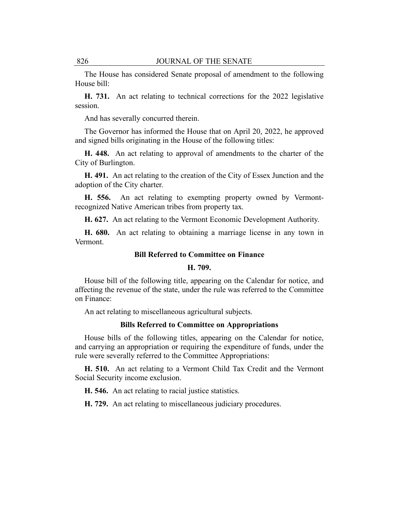The House has considered Senate proposal of amendment to the following House bill:

**H. 731.** An act relating to technical corrections for the 2022 legislative session.

And has severally concurred therein.

The Governor has informed the House that on April 20, 2022, he approved and signed bills originating in the House of the following titles:

**H. 448.** An act relating to approval of amendments to the charter of the City of Burlington.

**H. 491.** An act relating to the creation of the City of Essex Junction and the adoption of the City charter.

**H. 556.** An act relating to exempting property owned by Vermontrecognized Native American tribes from property tax.

**H. 627.** An act relating to the Vermont Economic Development Authority.

**H. 680.** An act relating to obtaining a marriage license in any town in Vermont.

## **Bill Referred to Committee on Finance**

#### **H. 709.**

House bill of the following title, appearing on the Calendar for notice, and affecting the revenue of the state, under the rule was referred to the Committee on Finance:

An act relating to miscellaneous agricultural subjects.

#### **Bills Referred to Committee on Appropriations**

House bills of the following titles, appearing on the Calendar for notice, and carrying an appropriation or requiring the expenditure of funds, under the rule were severally referred to the Committee Appropriations:

**H. 510.** An act relating to a Vermont Child Tax Credit and the Vermont Social Security income exclusion.

**H. 546.** An act relating to racial justice statistics.

**H. 729.** An act relating to miscellaneous judiciary procedures.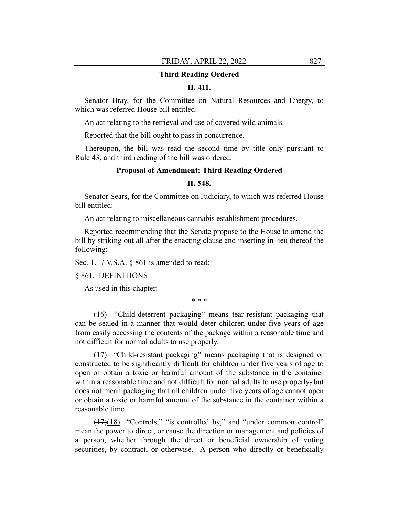#### **Third Reading Ordered**

#### **H. 411.**

Senator Bray, for the Committee on Natural Resources and Energy, to which was referred House bill entitled:

An act relating to the retrieval and use of covered wild animals.

Reported that the bill ought to pass in concurrence.

Thereupon, the bill was read the second time by title only pursuant to Rule 43, and third reading of the bill was ordered.

#### **Proposal of Amendment; Third Reading Ordered**

# **H. 548.**

Senator Sears, for the Committee on Judiciary, to which was referred House bill entitled:

An act relating to miscellaneous cannabis establishment procedures.

Reported recommending that the Senate propose to the House to amend the bill by striking out all after the enacting clause and inserting in lieu thereof the following:

Sec. 1. 7 V.S.A. § 861 is amended to read:

#### § 861. DEFINITIONS

As used in this chapter:

\* \* \*

(16) "Child-deterrent packaging" means tear-resistant packaging that can be sealed in a manner that would deter children under five years of age from easily accessing the contents of the package within a reasonable time and not difficult for normal adults to use properly.

(17) "Child-resistant packaging" means packaging that is designed or constructed to be significantly difficult for children under five years of age to open or obtain a toxic or harmful amount of the substance in the container within a reasonable time and not difficult for normal adults to use properly, but does not mean packaging that all children under five years of age cannot open or obtain a toxic or harmful amount of the substance in the container within a reasonable time.

(17)(18) "Controls," "is controlled by," and "under common control" mean the power to direct, or cause the direction or management and policies of a person, whether through the direct or beneficial ownership of voting securities, by contract, or otherwise. A person who directly or beneficially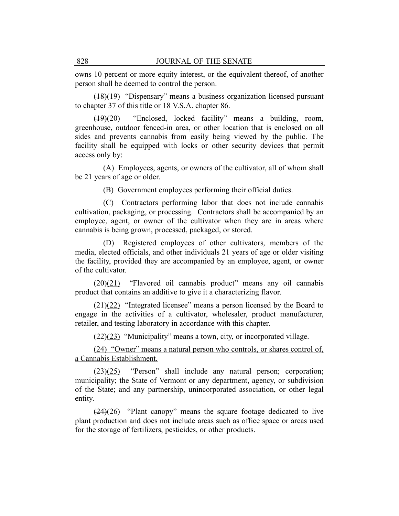owns 10 percent or more equity interest, or the equivalent thereof, of another person shall be deemed to control the person.

(18)(19) "Dispensary" means a business organization licensed pursuant to chapter 37 of this title or 18 V.S.A. chapter 86.

(19)(20) "Enclosed, locked facility" means a building, room, greenhouse, outdoor fenced-in area, or other location that is enclosed on all sides and prevents cannabis from easily being viewed by the public. The facility shall be equipped with locks or other security devices that permit access only by:

(A) Employees, agents, or owners of the cultivator, all of whom shall be 21 years of age or older.

(B) Government employees performing their official duties.

(C) Contractors performing labor that does not include cannabis cultivation, packaging, or processing. Contractors shall be accompanied by an employee, agent, or owner of the cultivator when they are in areas where cannabis is being grown, processed, packaged, or stored.

(D) Registered employees of other cultivators, members of the media, elected officials, and other individuals 21 years of age or older visiting the facility, provided they are accompanied by an employee, agent, or owner of the cultivator.

 $(20)(21)$  "Flavored oil cannabis product" means any oil cannabis product that contains an additive to give it a characterizing flavor.

 $(21)(22)$  "Integrated licensee" means a person licensed by the Board to engage in the activities of a cultivator, wholesaler, product manufacturer, retailer, and testing laboratory in accordance with this chapter.

 $(22)(23)$  "Municipality" means a town, city, or incorporated village.

(24) "Owner" means a natural person who controls, or shares control of, a Cannabis Establishment.

 $(23)(25)$  "Person" shall include any natural person; corporation; municipality; the State of Vermont or any department, agency, or subdivision of the State; and any partnership, unincorporated association, or other legal entity.

 $(24)(26)$  "Plant canopy" means the square footage dedicated to live plant production and does not include areas such as office space or areas used for the storage of fertilizers, pesticides, or other products.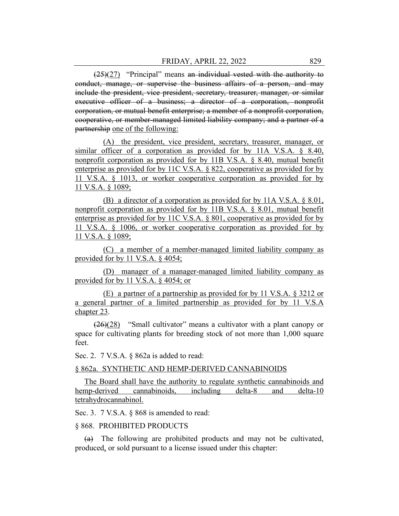$(25)(27)$  "Principal" means an individual vested with the authority to conduct, manage, or supervise the business affairs of a person, and may include the president, vice president, secretary, treasurer, manager, or similar executive officer of a business; a director of a corporation, nonprofit corporation, or mutual benefit enterprise; a member of a nonprofit corporation, cooperative, or member-managed limited liability company; and a partner of a partnership one of the following:

(A) the president, vice president, secretary, treasurer, manager, or similar officer of a corporation as provided for by 11A V.S.A. § 8.40, nonprofit corporation as provided for by 11B V.S.A. § 8.40, mutual benefit enterprise as provided for by 11C V.S.A. § 822, cooperative as provided for by 11 V.S.A. § 1013, or worker cooperative corporation as provided for by 11 V.S.A. § 1089;

(B) a director of a corporation as provided for by 11A V.S.A. § 8.01, nonprofit corporation as provided for by 11B V.S.A. § 8.01, mutual benefit enterprise as provided for by 11C V.S.A. § 801, cooperative as provided for by 11 V.S.A. § 1006, or worker cooperative corporation as provided for by 11 V.S.A. § 1089;

(C) a member of a member-managed limited liability company as provided for by 11 V.S.A. § 4054;

(D) manager of a manager-managed limited liability company as provided for by 11 V.S.A. § 4054; or

(E) a partner of a partnership as provided for by 11 V.S.A. § 3212 or a general partner of a limited partnership as provided for by 11 V.S.A chapter 23.

 $(26)(28)$  "Small cultivator" means a cultivator with a plant canopy or space for cultivating plants for breeding stock of not more than 1,000 square feet.

Sec. 2. 7 V.S.A. § 862a is added to read:

## § 862a. SYNTHETIC AND HEMP-DERIVED CANNABINOIDS

The Board shall have the authority to regulate synthetic cannabinoids and hemp-derived cannabinoids, including delta-8 and delta-10 tetrahydrocannabinol.

Sec. 3. 7 V.S.A. § 868 is amended to read:

#### § 868. PROHIBITED PRODUCTS

(a) The following are prohibited products and may not be cultivated, produced, or sold pursuant to a license issued under this chapter: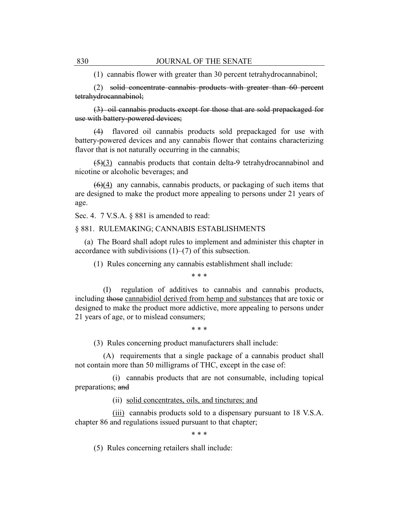(1) cannabis flower with greater than 30 percent tetrahydrocannabinol;

(2) solid concentrate cannabis products with greater than 60 percent tetrahydrocannabinol;

(3) oil cannabis products except for those that are sold prepackaged for use with battery-powered devices;

(4) flavored oil cannabis products sold prepackaged for use with battery-powered devices and any cannabis flower that contains characterizing flavor that is not naturally occurring in the cannabis;

 $(5)(3)$  cannabis products that contain delta-9 tetrahydrocannabinol and nicotine or alcoholic beverages; and

 $(6)(4)$  any cannabis, cannabis products, or packaging of such items that are designed to make the product more appealing to persons under 21 years of age.

Sec. 4. 7 V.S.A. § 881 is amended to read:

§ 881. RULEMAKING; CANNABIS ESTABLISHMENTS

(a) The Board shall adopt rules to implement and administer this chapter in accordance with subdivisions (1)–(7) of this subsection.

(1) Rules concerning any cannabis establishment shall include:

\* \* \*

(I) regulation of additives to cannabis and cannabis products, including those cannabidiol derived from hemp and substances that are toxic or designed to make the product more addictive, more appealing to persons under 21 years of age, or to mislead consumers;

\* \* \*

(3) Rules concerning product manufacturers shall include:

(A) requirements that a single package of a cannabis product shall not contain more than 50 milligrams of THC, except in the case of:

(i) cannabis products that are not consumable, including topical preparations; and

(ii) solid concentrates, oils, and tinctures; and

(iii) cannabis products sold to a dispensary pursuant to 18 V.S.A. chapter 86 and regulations issued pursuant to that chapter;

\* \* \*

(5) Rules concerning retailers shall include: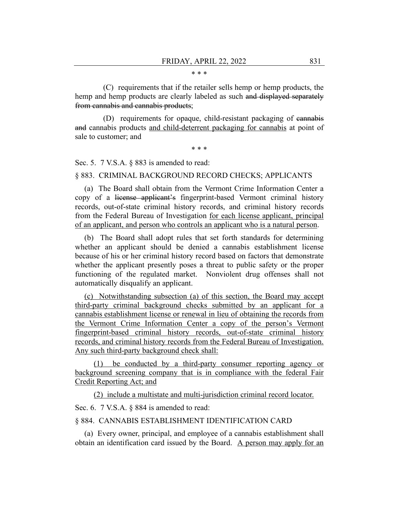#### \* \* \*

(C) requirements that if the retailer sells hemp or hemp products, the hemp and hemp products are clearly labeled as such and displayed separately from cannabis and cannabis products;

(D) requirements for opaque, child-resistant packaging of cannabis and cannabis products and child-deterrent packaging for cannabis at point of sale to customer; and

\* \* \*

Sec. 5. 7 V.S.A. § 883 is amended to read:

§ 883. CRIMINAL BACKGROUND RECORD CHECKS; APPLICANTS

(a) The Board shall obtain from the Vermont Crime Information Center a copy of a license applicant's fingerprint-based Vermont criminal history records, out-of-state criminal history records, and criminal history records from the Federal Bureau of Investigation for each license applicant, principal of an applicant, and person who controls an applicant who is a natural person.

(b) The Board shall adopt rules that set forth standards for determining whether an applicant should be denied a cannabis establishment license because of his or her criminal history record based on factors that demonstrate whether the applicant presently poses a threat to public safety or the proper functioning of the regulated market. Nonviolent drug offenses shall not automatically disqualify an applicant.

(c) Notwithstanding subsection (a) of this section, the Board may accept third-party criminal background checks submitted by an applicant for a cannabis establishment license or renewal in lieu of obtaining the records from the Vermont Crime Information Center a copy of the person's Vermont fingerprint-based criminal history records, out-of-state criminal history records, and criminal history records from the Federal Bureau of Investigation. Any such third-party background check shall:

(1) be conducted by a third-party consumer reporting agency or background screening company that is in compliance with the federal Fair Credit Reporting Act; and

(2) include a multistate and multi-jurisdiction criminal record locator.

Sec. 6. 7 V.S.A.  $\&$  884 is amended to read:

## § 884. CANNABIS ESTABLISHMENT IDENTIFICATION CARD

(a) Every owner, principal, and employee of a cannabis establishment shall obtain an identification card issued by the Board. A person may apply for an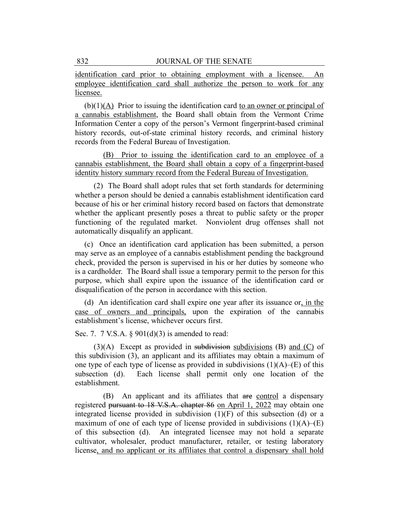identification card prior to obtaining employment with a licensee. An employee identification card shall authorize the person to work for any licensee.

(b)(1)(A) Prior to issuing the identification card to an owner or principal of a cannabis establishment, the Board shall obtain from the Vermont Crime Information Center a copy of the person's Vermont fingerprint-based criminal history records, out-of-state criminal history records, and criminal history records from the Federal Bureau of Investigation.

(B) Prior to issuing the identification card to an employee of a cannabis establishment, the Board shall obtain a copy of a fingerprint-based identity history summary record from the Federal Bureau of Investigation.

(2) The Board shall adopt rules that set forth standards for determining whether a person should be denied a cannabis establishment identification card because of his or her criminal history record based on factors that demonstrate whether the applicant presently poses a threat to public safety or the proper functioning of the regulated market. Nonviolent drug offenses shall not automatically disqualify an applicant.

(c) Once an identification card application has been submitted, a person may serve as an employee of a cannabis establishment pending the background check, provided the person is supervised in his or her duties by someone who is a cardholder. The Board shall issue a temporary permit to the person for this purpose, which shall expire upon the issuance of the identification card or disqualification of the person in accordance with this section.

(d) An identification card shall expire one year after its issuance or, in the case of owners and principals, upon the expiration of the cannabis establishment's license, whichever occurs first.

Sec. 7. 7 V.S.A. § 901(d)(3) is amended to read:

 $(3)(A)$  Except as provided in subdivision subdivisions (B) and (C) of this subdivision (3), an applicant and its affiliates may obtain a maximum of one type of each type of license as provided in subdivisions  $(1)(A)$ – $(E)$  of this subsection (d). Each license shall permit only one location of the establishment.

(B) An applicant and its affiliates that are control a dispensary registered pursuant to 18 V.S.A. chapter 86 on April 1, 2022 may obtain one integrated license provided in subdivision (1)(F) of this subsection (d) or a maximum of one of each type of license provided in subdivisions  $(1)(A)$ – $(E)$ of this subsection (d). An integrated licensee may not hold a separate cultivator, wholesaler, product manufacturer, retailer, or testing laboratory license, and no applicant or its affiliates that control a dispensary shall hold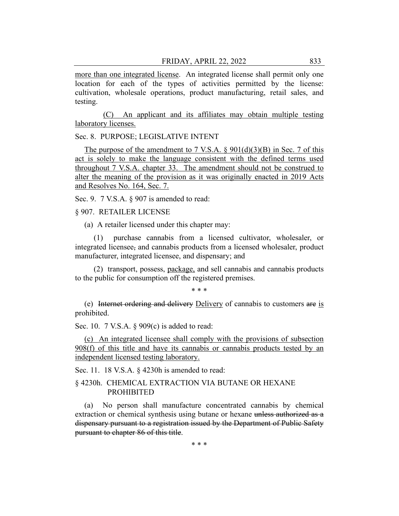more than one integrated license. An integrated license shall permit only one location for each of the types of activities permitted by the license: cultivation, wholesale operations, product manufacturing, retail sales, and testing.

(C) An applicant and its affiliates may obtain multiple testing laboratory licenses.

Sec. 8. PURPOSE; LEGISLATIVE INTENT

The purpose of the amendment to 7 V.S.A.  $\S$  901(d)(3)(B) in Sec. 7 of this act is solely to make the language consistent with the defined terms used throughout 7 V.S.A. chapter 33. The amendment should not be construed to alter the meaning of the provision as it was originally enacted in 2019 Acts and Resolves No. 164, Sec. 7.

Sec. 9. 7 V.S.A. § 907 is amended to read:

§ 907. RETAILER LICENSE

(a) A retailer licensed under this chapter may:

(1) purchase cannabis from a licensed cultivator, wholesaler, or integrated licensee, and cannabis products from a licensed wholesaler, product manufacturer, integrated licensee, and dispensary; and

(2) transport, possess, package, and sell cannabis and cannabis products to the public for consumption off the registered premises.

\* \* \*

(e) Internet ordering and delivery Delivery of cannabis to customers are is prohibited.

Sec. 10. 7 V.S.A. § 909(c) is added to read:

(c) An integrated licensee shall comply with the provisions of subsection 908(f) of this title and have its cannabis or cannabis products tested by an independent licensed testing laboratory.

Sec. 11. 18 V.S.A. § 4230h is amended to read:

## § 4230h. CHEMICAL EXTRACTION VIA BUTANE OR HEXANE PROHIBITED

(a) No person shall manufacture concentrated cannabis by chemical extraction or chemical synthesis using butane or hexane unless authorized as a dispensary pursuant to a registration issued by the Department of Public Safety pursuant to chapter 86 of this title.

\* \* \*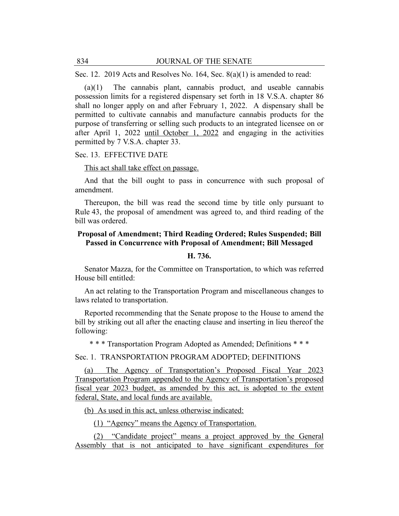Sec. 12. 2019 Acts and Resolves No. 164, Sec. 8(a)(1) is amended to read:

(a)(1) The cannabis plant, cannabis product, and useable cannabis possession limits for a registered dispensary set forth in 18 V.S.A. chapter 86 shall no longer apply on and after February 1, 2022. A dispensary shall be permitted to cultivate cannabis and manufacture cannabis products for the purpose of transferring or selling such products to an integrated licensee on or after April 1, 2022 until October 1, 2022 and engaging in the activities permitted by 7 V.S.A. chapter 33.

#### Sec. 13. EFFECTIVE DATE

#### This act shall take effect on passage.

And that the bill ought to pass in concurrence with such proposal of amendment.

Thereupon, the bill was read the second time by title only pursuant to Rule 43, the proposal of amendment was agreed to, and third reading of the bill was ordered.

## **Proposal of Amendment; Third Reading Ordered; Rules Suspended; Bill Passed in Concurrence with Proposal of Amendment; Bill Messaged**

#### **H. 736.**

Senator Mazza, for the Committee on Transportation, to which was referred House bill entitled:

An act relating to the Transportation Program and miscellaneous changes to laws related to transportation.

Reported recommending that the Senate propose to the House to amend the bill by striking out all after the enacting clause and inserting in lieu thereof the following:

\* \* \* Transportation Program Adopted as Amended; Definitions \* \* \*

Sec. 1. TRANSPORTATION PROGRAM ADOPTED; DEFINITIONS

(a) The Agency of Transportation's Proposed Fiscal Year 2023 Transportation Program appended to the Agency of Transportation's proposed fiscal year 2023 budget, as amended by this act, is adopted to the extent federal, State, and local funds are available.

(b) As used in this act, unless otherwise indicated:

(1) "Agency" means the Agency of Transportation.

(2) "Candidate project" means a project approved by the General Assembly that is not anticipated to have significant expenditures for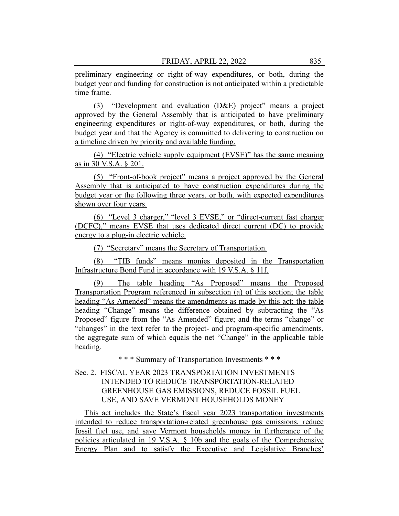preliminary engineering or right-of-way expenditures, or both, during the budget year and funding for construction is not anticipated within a predictable time frame.

(3) "Development and evaluation (D&E) project" means a project approved by the General Assembly that is anticipated to have preliminary engineering expenditures or right-of-way expenditures, or both, during the budget year and that the Agency is committed to delivering to construction on a timeline driven by priority and available funding.

(4) "Electric vehicle supply equipment (EVSE)" has the same meaning as in 30 V.S.A. § 201.

(5) "Front-of-book project" means a project approved by the General Assembly that is anticipated to have construction expenditures during the budget year or the following three years, or both, with expected expenditures shown over four years.

(6) "Level 3 charger," "level 3 EVSE," or "direct-current fast charger (DCFC)," means EVSE that uses dedicated direct current (DC) to provide energy to a plug-in electric vehicle.

(7) "Secretary" means the Secretary of Transportation.

(8) "TIB funds" means monies deposited in the Transportation Infrastructure Bond Fund in accordance with 19 V.S.A. § 11f.

(9) The table heading "As Proposed" means the Proposed Transportation Program referenced in subsection (a) of this section; the table heading "As Amended" means the amendments as made by this act; the table heading "Change" means the difference obtained by subtracting the "As Proposed" figure from the "As Amended" figure; and the terms "change" or "changes" in the text refer to the project- and program-specific amendments, the aggregate sum of which equals the net "Change" in the applicable table heading.

\* \* \* Summary of Transportation Investments \* \* \*

# Sec. 2. FISCAL YEAR 2023 TRANSPORTATION INVESTMENTS INTENDED TO REDUCE TRANSPORTATION-RELATED GREENHOUSE GAS EMISSIONS, REDUCE FOSSIL FUEL USE, AND SAVE VERMONT HOUSEHOLDS MONEY

This act includes the State's fiscal year 2023 transportation investments intended to reduce transportation-related greenhouse gas emissions, reduce fossil fuel use, and save Vermont households money in furtherance of the policies articulated in 19 V.S.A. § 10b and the goals of the Comprehensive Energy Plan and to satisfy the Executive and Legislative Branches'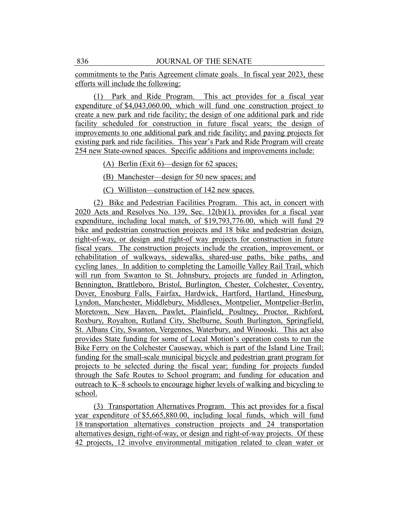commitments to the Paris Agreement climate goals. In fiscal year 2023, these efforts will include the following:

(1) Park and Ride Program. This act provides for a fiscal year expenditure of \$4,043,060.00, which will fund one construction project to create a new park and ride facility; the design of one additional park and ride facility scheduled for construction in future fiscal years; the design of improvements to one additional park and ride facility; and paving projects for existing park and ride facilities. This year's Park and Ride Program will create 254 new State-owned spaces. Specific additions and improvements include:

(A) Berlin (Exit 6)—design for 62 spaces;

(B) Manchester—design for 50 new spaces; and

(C) Williston—construction of 142 new spaces.

(2) Bike and Pedestrian Facilities Program. This act, in concert with 2020 Acts and Resolves No. 139, Sec. 12(b)(1), provides for a fiscal year expenditure, including local match, of \$19,793,776.00, which will fund 29 bike and pedestrian construction projects and 18 bike and pedestrian design, right-of-way, or design and right-of way projects for construction in future fiscal years. The construction projects include the creation, improvement, or rehabilitation of walkways, sidewalks, shared-use paths, bike paths, and cycling lanes. In addition to completing the Lamoille Valley Rail Trail, which will run from Swanton to St. Johnsbury, projects are funded in Arlington, Bennington, Brattleboro, Bristol, Burlington, Chester, Colchester, Coventry, Dover, Enosburg Falls, Fairfax, Hardwick, Hartford, Hartland, Hinesburg, Lyndon, Manchester, Middlebury, Middlesex, Montpelier, Montpelier-Berlin, Moretown, New Haven, Pawlet, Plainfield, Poultney, Proctor, Richford, Roxbury, Royalton, Rutland City, Shelburne, South Burlington, Springfield, St. Albans City, Swanton, Vergennes, Waterbury, and Winooski. This act also provides State funding for some of Local Motion's operation costs to run the Bike Ferry on the Colchester Causeway, which is part of the Island Line Trail; funding for the small-scale municipal bicycle and pedestrian grant program for projects to be selected during the fiscal year; funding for projects funded through the Safe Routes to School program; and funding for education and outreach to K–8 schools to encourage higher levels of walking and bicycling to school.

(3) Transportation Alternatives Program. This act provides for a fiscal year expenditure of \$5,665,880.00, including local funds, which will fund 18 transportation alternatives construction projects and 24 transportation alternatives design, right-of-way, or design and right-of-way projects. Of these 42 projects, 12 involve environmental mitigation related to clean water or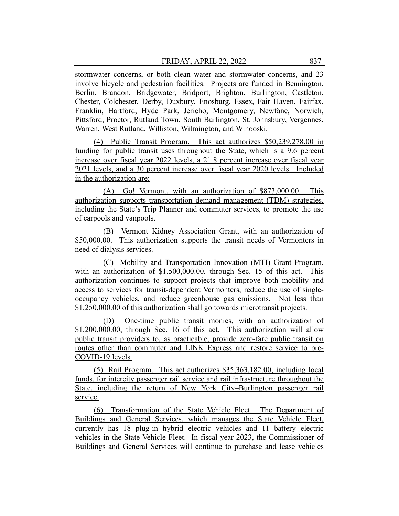stormwater concerns, or both clean water and stormwater concerns, and 23 involve bicycle and pedestrian facilities. Projects are funded in Bennington, Berlin, Brandon, Bridgewater, Bridport, Brighton, Burlington, Castleton, Chester, Colchester, Derby, Duxbury, Enosburg, Essex, Fair Haven, Fairfax, Franklin, Hartford, Hyde Park, Jericho, Montgomery, Newfane, Norwich, Pittsford, Proctor, Rutland Town, South Burlington, St. Johnsbury, Vergennes, Warren, West Rutland, Williston, Wilmington, and Winooski.

(4) Public Transit Program. This act authorizes \$50,239,278.00 in funding for public transit uses throughout the State, which is a 9.6 percent increase over fiscal year 2022 levels, a 21.8 percent increase over fiscal year 2021 levels, and a 30 percent increase over fiscal year 2020 levels. Included in the authorization are:

(A) Go! Vermont, with an authorization of \$873,000.00. This authorization supports transportation demand management (TDM) strategies, including the State's Trip Planner and commuter services, to promote the use of carpools and vanpools.

(B) Vermont Kidney Association Grant, with an authorization of \$50,000.00. This authorization supports the transit needs of Vermonters in need of dialysis services.

(C) Mobility and Transportation Innovation (MTI) Grant Program, with an authorization of \$1,500,000.00, through Sec. 15 of this act. This authorization continues to support projects that improve both mobility and access to services for transit-dependent Vermonters, reduce the use of singleoccupancy vehicles, and reduce greenhouse gas emissions. Not less than \$1,250,000.00 of this authorization shall go towards microtransit projects.

(D) One-time public transit monies, with an authorization of \$1,200,000.00, through Sec. 16 of this act. This authorization will allow public transit providers to, as practicable, provide zero-fare public transit on routes other than commuter and LINK Express and restore service to pre-COVID-19 levels.

(5) Rail Program. This act authorizes \$35,363,182.00, including local funds, for intercity passenger rail service and rail infrastructure throughout the State, including the return of New York City–Burlington passenger rail service.

(6) Transformation of the State Vehicle Fleet. The Department of Buildings and General Services, which manages the State Vehicle Fleet, currently has 18 plug-in hybrid electric vehicles and 11 battery electric vehicles in the State Vehicle Fleet. In fiscal year 2023, the Commissioner of Buildings and General Services will continue to purchase and lease vehicles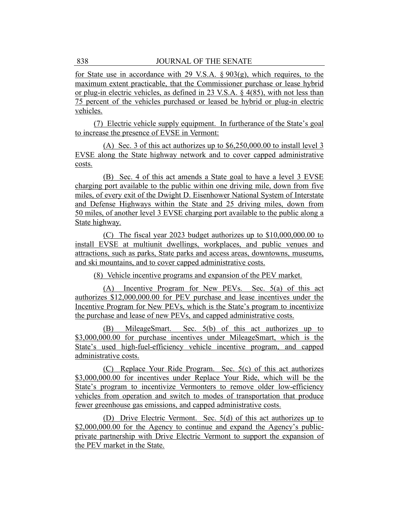for State use in accordance with 29 V.S.A.  $\S 903(g)$ , which requires, to the maximum extent practicable, that the Commissioner purchase or lease hybrid or plug-in electric vehicles, as defined in 23 V.S.A. § 4(85), with not less than 75 percent of the vehicles purchased or leased be hybrid or plug-in electric vehicles.

(7) Electric vehicle supply equipment. In furtherance of the State's goal to increase the presence of EVSE in Vermont:

(A) Sec. 3 of this act authorizes up to \$6,250,000.00 to install level 3 EVSE along the State highway network and to cover capped administrative costs.

(B) Sec. 4 of this act amends a State goal to have a level 3 EVSE charging port available to the public within one driving mile, down from five miles, of every exit of the Dwight D. Eisenhower National System of Interstate and Defense Highways within the State and 25 driving miles, down from 50 miles, of another level 3 EVSE charging port available to the public along a State highway.

(C) The fiscal year 2023 budget authorizes up to \$10,000,000.00 to install EVSE at multiunit dwellings, workplaces, and public venues and attractions, such as parks, State parks and access areas, downtowns, museums, and ski mountains, and to cover capped administrative costs.

(8) Vehicle incentive programs and expansion of the PEV market.

(A) Incentive Program for New PEVs. Sec. 5(a) of this act authorizes \$12,000,000.00 for PEV purchase and lease incentives under the Incentive Program for New PEVs, which is the State's program to incentivize the purchase and lease of new PEVs, and capped administrative costs.

(B) MileageSmart. Sec. 5(b) of this act authorizes up to \$3,000,000.00 for purchase incentives under MileageSmart, which is the State's used high-fuel-efficiency vehicle incentive program, and capped administrative costs.

(C) Replace Your Ride Program. Sec. 5(c) of this act authorizes \$3,000,000.00 for incentives under Replace Your Ride, which will be the State's program to incentivize Vermonters to remove older low-efficiency vehicles from operation and switch to modes of transportation that produce fewer greenhouse gas emissions, and capped administrative costs.

(D) Drive Electric Vermont. Sec. 5(d) of this act authorizes up to \$2,000,000.00 for the Agency to continue and expand the Agency's publicprivate partnership with Drive Electric Vermont to support the expansion of the PEV market in the State.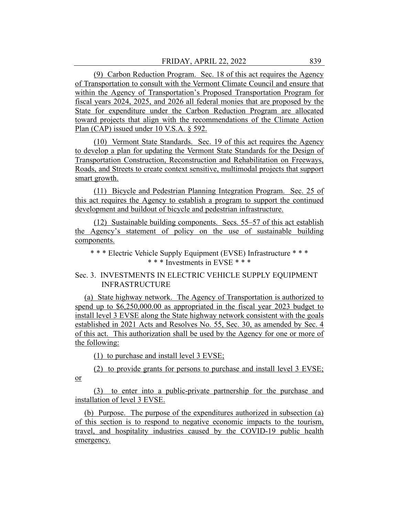(9) Carbon Reduction Program. Sec. 18 of this act requires the Agency of Transportation to consult with the Vermont Climate Council and ensure that within the Agency of Transportation's Proposed Transportation Program for fiscal years 2024, 2025, and 2026 all federal monies that are proposed by the State for expenditure under the Carbon Reduction Program are allocated toward projects that align with the recommendations of the Climate Action Plan (CAP) issued under 10 V.S.A. § 592.

(10) Vermont State Standards. Sec. 19 of this act requires the Agency to develop a plan for updating the Vermont State Standards for the Design of Transportation Construction, Reconstruction and Rehabilitation on Freeways, Roads, and Streets to create context sensitive, multimodal projects that support smart growth.

(11) Bicycle and Pedestrian Planning Integration Program. Sec. 25 of this act requires the Agency to establish a program to support the continued development and buildout of bicycle and pedestrian infrastructure.

(12) Sustainable building components. Secs. 55–57 of this act establish the Agency's statement of policy on the use of sustainable building components.

\* \* \* Electric Vehicle Supply Equipment (EVSE) Infrastructure \* \* \* \* \* \* Investments in EVSE \* \* \*

## Sec. 3. INVESTMENTS IN ELECTRIC VEHICLE SUPPLY EQUIPMENT INFRASTRUCTURE

(a) State highway network. The Agency of Transportation is authorized to spend up to \$6,250,000.00 as appropriated in the fiscal year 2023 budget to install level 3 EVSE along the State highway network consistent with the goals established in 2021 Acts and Resolves No. 55, Sec. 30, as amended by Sec. 4 of this act. This authorization shall be used by the Agency for one or more of the following:

(1) to purchase and install level 3 EVSE;

(2) to provide grants for persons to purchase and install level 3 EVSE; or

(3) to enter into a public-private partnership for the purchase and installation of level 3 EVSE.

(b) Purpose. The purpose of the expenditures authorized in subsection (a) of this section is to respond to negative economic impacts to the tourism, travel, and hospitality industries caused by the COVID-19 public health emergency.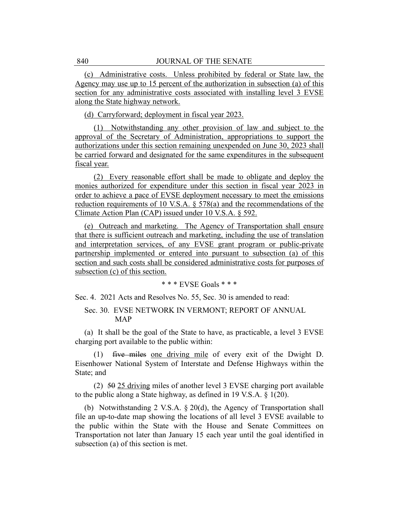(c) Administrative costs. Unless prohibited by federal or State law, the Agency may use up to 15 percent of the authorization in subsection (a) of this section for any administrative costs associated with installing level 3 EVSE along the State highway network.

(d) Carryforward; deployment in fiscal year 2023.

(1) Notwithstanding any other provision of law and subject to the approval of the Secretary of Administration, appropriations to support the authorizations under this section remaining unexpended on June 30, 2023 shall be carried forward and designated for the same expenditures in the subsequent fiscal year.

(2) Every reasonable effort shall be made to obligate and deploy the monies authorized for expenditure under this section in fiscal year 2023 in order to achieve a pace of EVSE deployment necessary to meet the emissions reduction requirements of 10 V.S.A. § 578(a) and the recommendations of the Climate Action Plan (CAP) issued under 10 V.S.A. § 592.

(e) Outreach and marketing. The Agency of Transportation shall ensure that there is sufficient outreach and marketing, including the use of translation and interpretation services, of any EVSE grant program or public-private partnership implemented or entered into pursuant to subsection (a) of this section and such costs shall be considered administrative costs for purposes of subsection (c) of this section.

\* \* \* EVSE Goals \* \* \*

Sec. 4. 2021 Acts and Resolves No. 55, Sec. 30 is amended to read:

## Sec. 30. EVSE NETWORK IN VERMONT; REPORT OF ANNUAL MAP

(a) It shall be the goal of the State to have, as practicable, a level 3 EVSE charging port available to the public within:

(1) five miles one driving mile of every exit of the Dwight D. Eisenhower National System of Interstate and Defense Highways within the State; and

 $(2)$  50 25 driving miles of another level 3 EVSE charging port available to the public along a State highway, as defined in 19 V.S.A. § 1(20).

(b) Notwithstanding 2 V.S.A. § 20(d), the Agency of Transportation shall file an up-to-date map showing the locations of all level 3 EVSE available to the public within the State with the House and Senate Committees on Transportation not later than January 15 each year until the goal identified in subsection (a) of this section is met.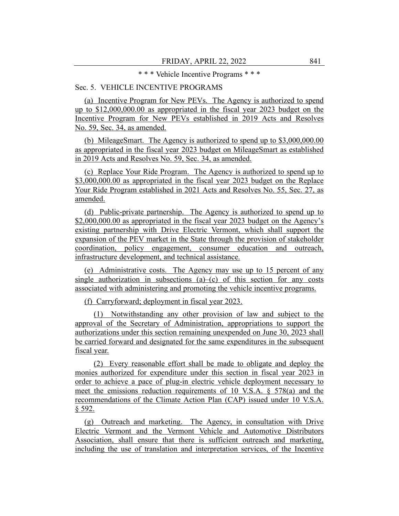#### \* \* \* Vehicle Incentive Programs \* \* \*

## Sec. 5. VEHICLE INCENTIVE PROGRAMS

(a) Incentive Program for New PEVs. The Agency is authorized to spend up to \$12,000,000.00 as appropriated in the fiscal year 2023 budget on the Incentive Program for New PEVs established in 2019 Acts and Resolves No. 59, Sec. 34, as amended.

(b) MileageSmart. The Agency is authorized to spend up to \$3,000,000.00 as appropriated in the fiscal year 2023 budget on MileageSmart as established in 2019 Acts and Resolves No. 59, Sec. 34, as amended.

(c) Replace Your Ride Program. The Agency is authorized to spend up to \$3,000,000.00 as appropriated in the fiscal year 2023 budget on the Replace Your Ride Program established in 2021 Acts and Resolves No. 55, Sec. 27, as amended.

(d) Public-private partnership. The Agency is authorized to spend up to \$2,000,000.00 as appropriated in the fiscal year 2023 budget on the Agency's existing partnership with Drive Electric Vermont, which shall support the expansion of the PEV market in the State through the provision of stakeholder coordination, policy engagement, consumer education and outreach, infrastructure development, and technical assistance.

(e) Administrative costs. The Agency may use up to 15 percent of any single authorization in subsections  $(a)$ – $(c)$  of this section for any costs associated with administering and promoting the vehicle incentive programs.

(f) Carryforward; deployment in fiscal year 2023.

(1) Notwithstanding any other provision of law and subject to the approval of the Secretary of Administration, appropriations to support the authorizations under this section remaining unexpended on June 30, 2023 shall be carried forward and designated for the same expenditures in the subsequent fiscal year.

(2) Every reasonable effort shall be made to obligate and deploy the monies authorized for expenditure under this section in fiscal year 2023 in order to achieve a pace of plug-in electric vehicle deployment necessary to meet the emissions reduction requirements of 10 V.S.A. § 578(a) and the recommendations of the Climate Action Plan (CAP) issued under 10 V.S.A. § 592.

(g) Outreach and marketing. The Agency, in consultation with Drive Electric Vermont and the Vermont Vehicle and Automotive Distributors Association, shall ensure that there is sufficient outreach and marketing, including the use of translation and interpretation services, of the Incentive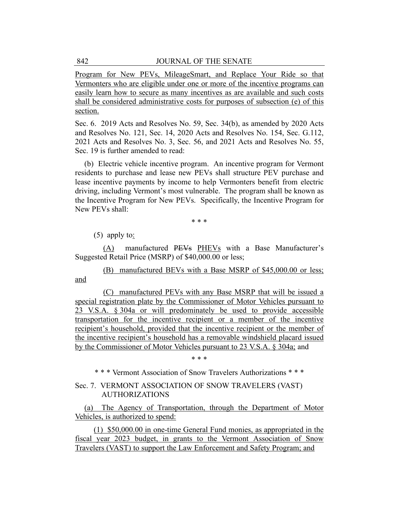Program for New PEVs, MileageSmart, and Replace Your Ride so that Vermonters who are eligible under one or more of the incentive programs can easily learn how to secure as many incentives as are available and such costs shall be considered administrative costs for purposes of subsection (e) of this section.

Sec. 6. 2019 Acts and Resolves No. 59, Sec. 34(b), as amended by 2020 Acts and Resolves No. 121, Sec. 14, 2020 Acts and Resolves No. 154, Sec. G.112, 2021 Acts and Resolves No. 3, Sec. 56, and 2021 Acts and Resolves No. 55, Sec. 19 is further amended to read:

(b) Electric vehicle incentive program. An incentive program for Vermont residents to purchase and lease new PEVs shall structure PEV purchase and lease incentive payments by income to help Vermonters benefit from electric driving, including Vermont's most vulnerable. The program shall be known as the Incentive Program for New PEVs. Specifically, the Incentive Program for New PEVs shall:

\* \* \*

(5) apply to:

(A) manufactured PEVs PHEVs with a Base Manufacturer's Suggested Retail Price (MSRP) of \$40,000.00 or less;

(B) manufactured BEVs with a Base MSRP of \$45,000.00 or less; and

(C) manufactured PEVs with any Base MSRP that will be issued a special registration plate by the Commissioner of Motor Vehicles pursuant to 23 V.S.A. § 304a or will predominately be used to provide accessible transportation for the incentive recipient or a member of the incentive recipient's household, provided that the incentive recipient or the member of the incentive recipient's household has a removable windshield placard issued by the Commissioner of Motor Vehicles pursuant to 23 V.S.A. § 304a; and

\* \* \*

\* \* \* Vermont Association of Snow Travelers Authorizations \* \* \*

## Sec. 7. VERMONT ASSOCIATION OF SNOW TRAVELERS (VAST) AUTHORIZATIONS

(a) The Agency of Transportation, through the Department of Motor Vehicles, is authorized to spend:

(1) \$50,000.00 in one-time General Fund monies, as appropriated in the fiscal year 2023 budget, in grants to the Vermont Association of Snow Travelers (VAST) to support the Law Enforcement and Safety Program; and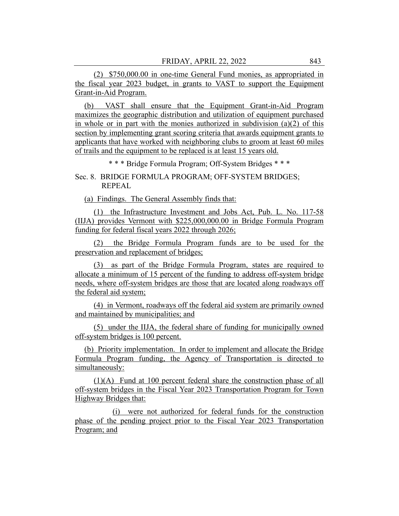(2) \$750,000.00 in one-time General Fund monies, as appropriated in the fiscal year 2023 budget, in grants to VAST to support the Equipment Grant-in-Aid Program.

(b) VAST shall ensure that the Equipment Grant-in-Aid Program maximizes the geographic distribution and utilization of equipment purchased in whole or in part with the monies authorized in subdivision  $(a)(2)$  of this section by implementing grant scoring criteria that awards equipment grants to applicants that have worked with neighboring clubs to groom at least 60 miles of trails and the equipment to be replaced is at least 15 years old.

\* \* \* Bridge Formula Program; Off-System Bridges \* \* \*

Sec. 8. BRIDGE FORMULA PROGRAM; OFF-SYSTEM BRIDGES; REPEAL

(a) Findings. The General Assembly finds that:

(1) the Infrastructure Investment and Jobs Act, Pub. L. No. 117-58 (IIJA) provides Vermont with \$225,000,000.00 in Bridge Formula Program funding for federal fiscal years 2022 through 2026;

(2) the Bridge Formula Program funds are to be used for the preservation and replacement of bridges;

(3) as part of the Bridge Formula Program, states are required to allocate a minimum of 15 percent of the funding to address off-system bridge needs, where off-system bridges are those that are located along roadways off the federal aid system;

(4) in Vermont, roadways off the federal aid system are primarily owned and maintained by municipalities; and

(5) under the IIJA, the federal share of funding for municipally owned off-system bridges is 100 percent.

(b) Priority implementation. In order to implement and allocate the Bridge Formula Program funding, the Agency of Transportation is directed to simultaneously:

(1)(A) Fund at 100 percent federal share the construction phase of all off-system bridges in the Fiscal Year 2023 Transportation Program for Town Highway Bridges that:

(i) were not authorized for federal funds for the construction phase of the pending project prior to the Fiscal Year 2023 Transportation Program; and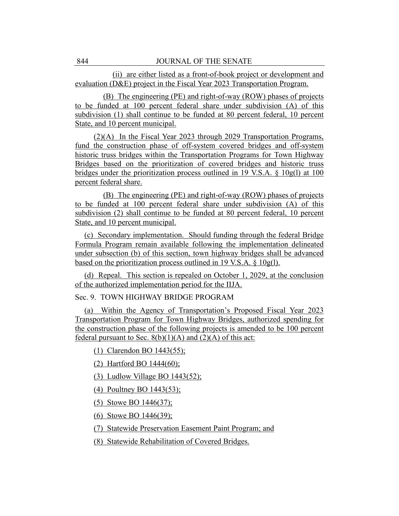(ii) are either listed as a front-of-book project or development and evaluation (D&E) project in the Fiscal Year 2023 Transportation Program.

(B) The engineering (PE) and right-of-way (ROW) phases of projects to be funded at 100 percent federal share under subdivision (A) of this subdivision (1) shall continue to be funded at 80 percent federal, 10 percent State, and 10 percent municipal.

(2)(A) In the Fiscal Year 2023 through 2029 Transportation Programs, fund the construction phase of off-system covered bridges and off-system historic truss bridges within the Transportation Programs for Town Highway Bridges based on the prioritization of covered bridges and historic truss bridges under the prioritization process outlined in 19 V.S.A. § 10g(l) at 100 percent federal share.

(B) The engineering (PE) and right-of-way (ROW) phases of projects to be funded at 100 percent federal share under subdivision (A) of this subdivision (2) shall continue to be funded at 80 percent federal, 10 percent State, and 10 percent municipal.

(c) Secondary implementation. Should funding through the federal Bridge Formula Program remain available following the implementation delineated under subsection (b) of this section, town highway bridges shall be advanced based on the prioritization process outlined in 19 V.S.A.  $\S$  10g(1).

(d) Repeal. This section is repealed on October 1, 2029, at the conclusion of the authorized implementation period for the IIJA.

Sec. 9. TOWN HIGHWAY BRIDGE PROGRAM

(a) Within the Agency of Transportation's Proposed Fiscal Year 2023 Transportation Program for Town Highway Bridges, authorized spending for the construction phase of the following projects is amended to be 100 percent federal pursuant to Sec.  $8(b)(1)(A)$  and  $(2)(A)$  of this act:

(1) Clarendon BO 1443(55);

(2) Hartford BO 1444(60);

(3) Ludlow Village BO 1443(52);

(4) Poultney BO 1443(53);

(5) Stowe BO 1446(37);

(6) Stowe BO 1446(39);

(7) Statewide Preservation Easement Paint Program; and

(8) Statewide Rehabilitation of Covered Bridges.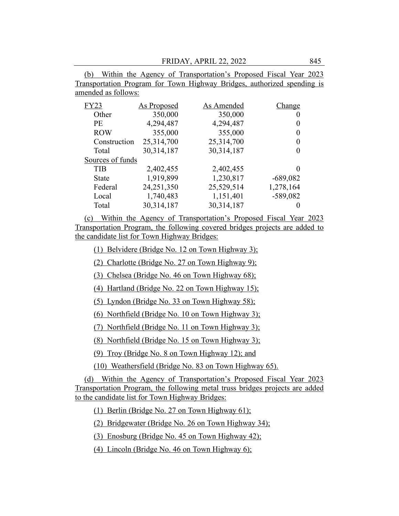FRIDAY, APRIL 22, 2022 845

(b) Within the Agency of Transportation's Proposed Fiscal Year 2023 Transportation Program for Town Highway Bridges, authorized spending is amended as follows:

| <b>FY23</b>      | As Proposed | As Amended | Change     |
|------------------|-------------|------------|------------|
| Other            | 350,000     | 350,000    | O          |
| <b>PE</b>        | 4,294,487   | 4,294,487  | $\theta$   |
| <b>ROW</b>       | 355,000     | 355,000    | 0          |
| Construction     | 25,314,700  | 25,314,700 | 0          |
| Total            | 30,314,187  | 30,314,187 | 0          |
| Sources of funds |             |            |            |
| <b>TIB</b>       | 2,402,455   | 2,402,455  |            |
| State            | 1,919,899   | 1,230,817  | $-689,082$ |
| Federal          | 24,251,350  | 25,529,514 | 1,278,164  |
| Local            | 1,740,483   | 1,151,401  | $-589,082$ |
| Total            | 30,314,187  | 30,314,187 |            |

(c) Within the Agency of Transportation's Proposed Fiscal Year 2023 Transportation Program, the following covered bridges projects are added to the candidate list for Town Highway Bridges:

(1) Belvidere (Bridge No. 12 on Town Highway 3);

(2) Charlotte (Bridge No. 27 on Town Highway 9);

(3) Chelsea (Bridge No. 46 on Town Highway 68);

(4) Hartland (Bridge No. 22 on Town Highway 15);

(5) Lyndon (Bridge No. 33 on Town Highway 58);

(6) Northfield (Bridge No. 10 on Town Highway 3);

(7) Northfield (Bridge No. 11 on Town Highway 3);

(8) Northfield (Bridge No. 15 on Town Highway 3);

(9) Troy (Bridge No. 8 on Town Highway 12); and

(10) Weathersfield (Bridge No. 83 on Town Highway 65).

(d) Within the Agency of Transportation's Proposed Fiscal Year 2023 Transportation Program, the following metal truss bridges projects are added to the candidate list for Town Highway Bridges:

(1) Berlin (Bridge No. 27 on Town Highway 61);

(2) Bridgewater (Bridge No. 26 on Town Highway 34);

(3) Enosburg (Bridge No. 45 on Town Highway 42);

(4) Lincoln (Bridge No. 46 on Town Highway 6);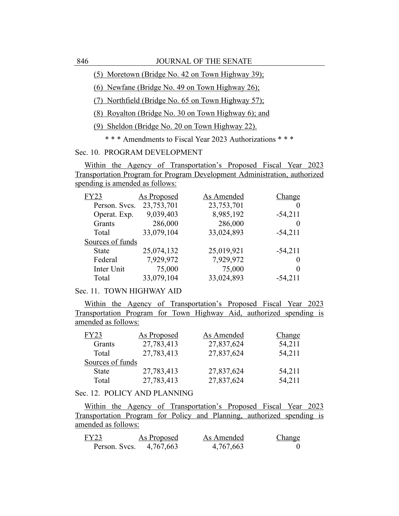(5) Moretown (Bridge No. 42 on Town Highway 39);

(6) Newfane (Bridge No. 49 on Town Highway 26);

(7) Northfield (Bridge No. 65 on Town Highway 57);

(8) Royalton (Bridge No. 30 on Town Highway 6); and

(9) Sheldon (Bridge No. 20 on Town Highway 22).

\* \* \* Amendments to Fiscal Year 2023 Authorizations \* \* \*

Sec. 10. PROGRAM DEVELOPMENT

Within the Agency of Transportation's Proposed Fiscal Year 2023 Transportation Program for Program Development Administration, authorized spending is amended as follows:

| <b>FY23</b>      | As Proposed | As Amended | Change    |
|------------------|-------------|------------|-----------|
| Person. Svcs.    | 23,753,701  | 23,753,701 |           |
| Operat. Exp.     | 9,039,403   | 8,985,192  | $-54,211$ |
| Grants           | 286,000     | 286,000    | $\theta$  |
| Total            | 33,079,104  | 33,024,893 | $-54,211$ |
| Sources of funds |             |            |           |
| <b>State</b>     | 25,074,132  | 25,019,921 | $-54,211$ |
| Federal          | 7,929,972   | 7,929,972  | $\theta$  |
| Inter Unit       | 75,000      | 75,000     | $\Omega$  |
| Total            | 33,079,104  | 33,024,893 | $-54,211$ |

## Sec. 11. TOWN HIGHWAY AID

Within the Agency of Transportation's Proposed Fiscal Year 2023 Transportation Program for Town Highway Aid, authorized spending is amended as follows:

| FY23             | <b>As Proposed</b> | As Amended | Change |
|------------------|--------------------|------------|--------|
| Grants           | 27,783,413         | 27,837,624 | 54,211 |
| Total            | 27,783,413         | 27,837,624 | 54,211 |
| Sources of funds |                    |            |        |
| <b>State</b>     | 27,783,413         | 27,837,624 | 54,211 |
| Total            | 27,783,413         | 27,837,624 | 54,211 |

#### Sec. 12. POLICY AND PLANNING

Within the Agency of Transportation's Proposed Fiscal Year 2023 Transportation Program for Policy and Planning, authorized spending is amended as follows:

| FY23          | As Proposed | As Amended | Change |
|---------------|-------------|------------|--------|
| Person. Svcs. | 4,767,663   | 4,767,663  |        |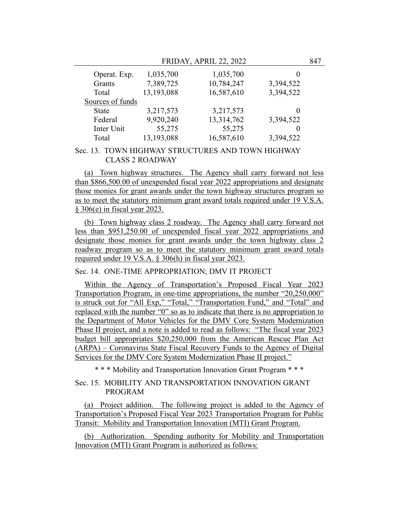FRIDAY, APRIL 22, 2022 847

| Operat. Exp.     | 1,035,700  | 1,035,700  | $\mathbf{\Omega}$ |
|------------------|------------|------------|-------------------|
| Grants           | 7,389,725  | 10,784,247 | 3,394,522         |
| Total            | 13,193,088 | 16,587,610 | 3,394,522         |
| Sources of funds |            |            |                   |
| <b>State</b>     | 3,217,573  | 3,217,573  | $\theta$          |
| Federal          | 9,920,240  | 13,314,762 | 3,394,522         |
| Inter Unit       | 55,275     | 55,275     | $\theta$          |
| Total            | 13,193,088 | 16,587,610 | 3,394,522         |

## Sec. 13. TOWN HIGHWAY STRUCTURES AND TOWN HIGHWAY CLASS 2 ROADWAY

(a) Town highway structures. The Agency shall carry forward not less than \$866,500.00 of unexpended fiscal year 2022 appropriations and designate those monies for grant awards under the town highway structures program so as to meet the statutory minimum grant award totals required under 19 V.S.A. § 306(e) in fiscal year 2023.

(b) Town highway class 2 roadway. The Agency shall carry forward not less than \$951,250.00 of unexpended fiscal year 2022 appropriations and designate those monies for grant awards under the town highway class 2 roadway program so as to meet the statutory minimum grant award totals required under 19 V.S.A. § 306(h) in fiscal year 2023.

#### Sec. 14. ONE-TIME APPROPRIATION; DMV IT PROJECT

Within the Agency of Transportation's Proposed Fiscal Year 2023 Transportation Program, in one-time appropriations, the number "20,250,000" is struck out for "All Exp," "Total," "Transportation Fund," and "Total" and replaced with the number "0" so as to indicate that there is no appropriation to the Department of Motor Vehicles for the DMV Core System Modernization Phase II project, and a note is added to read as follows: "The fiscal year 2023 budget bill appropriates \$20,250,000 from the American Rescue Plan Act (ARPA) – Coronavirus State Fiscal Recovery Funds to the Agency of Digital Services for the DMV Core System Modernization Phase II project."

\* \* \* Mobility and Transportation Innovation Grant Program \* \* \*

## Sec. 15. MOBILITY AND TRANSPORTATION INNOVATION GRANT PROGRAM

(a) Project addition. The following project is added to the Agency of Transportation's Proposed Fiscal Year 2023 Transportation Program for Public Transit: Mobility and Transportation Innovation (MTI) Grant Program.

(b) Authorization. Spending authority for Mobility and Transportation Innovation (MTI) Grant Program is authorized as follows: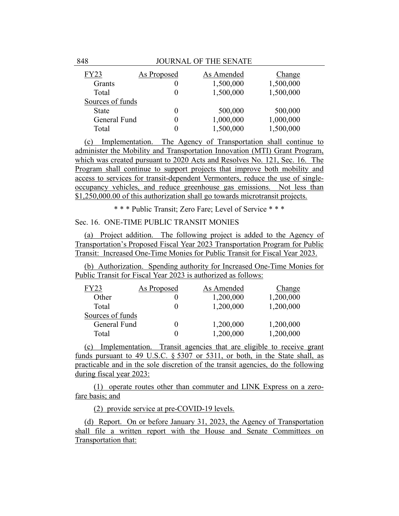| FY23             | <b>As Proposed</b> | As Amended | <b>Change</b> |
|------------------|--------------------|------------|---------------|
| Grants           |                    | 1,500,000  | 1,500,000     |
| Total            | 0                  | 1,500,000  | 1,500,000     |
| Sources of funds |                    |            |               |
| <b>State</b>     | 0                  | 500,000    | 500,000       |
| General Fund     | 0                  | 1,000,000  | 1,000,000     |
| Total            |                    | 1,500,000  | 1,500,000     |

(c) Implementation. The Agency of Transportation shall continue to administer the Mobility and Transportation Innovation (MTI) Grant Program, which was created pursuant to 2020 Acts and Resolves No. 121, Sec. 16. The Program shall continue to support projects that improve both mobility and access to services for transit-dependent Vermonters, reduce the use of singleoccupancy vehicles, and reduce greenhouse gas emissions. Not less than \$1,250,000.00 of this authorization shall go towards microtransit projects.

\* \* \* Public Transit; Zero Fare; Level of Service \* \* \*

## Sec. 16. ONE-TIME PUBLIC TRANSIT MONIES

(a) Project addition. The following project is added to the Agency of Transportation's Proposed Fiscal Year 2023 Transportation Program for Public Transit: Increased One-Time Monies for Public Transit for Fiscal Year 2023.

(b) Authorization. Spending authority for Increased One-Time Monies for Public Transit for Fiscal Year 2023 is authorized as follows:

| FY23             | As Proposed | As Amended | Change    |
|------------------|-------------|------------|-----------|
| Other            |             | 1,200,000  | 1,200,000 |
| Total            |             | 1,200,000  | 1,200,000 |
| Sources of funds |             |            |           |
| General Fund     |             | 1,200,000  | 1,200,000 |
| Total            |             | 1,200,000  | 1,200,000 |

(c) Implementation. Transit agencies that are eligible to receive grant funds pursuant to 49 U.S.C. § 5307 or 5311, or both, in the State shall, as practicable and in the sole discretion of the transit agencies, do the following during fiscal year 2023:

(1) operate routes other than commuter and LINK Express on a zerofare basis; and

(2) provide service at pre-COVID-19 levels.

(d) Report. On or before January 31, 2023, the Agency of Transportation shall file a written report with the House and Senate Committees on Transportation that: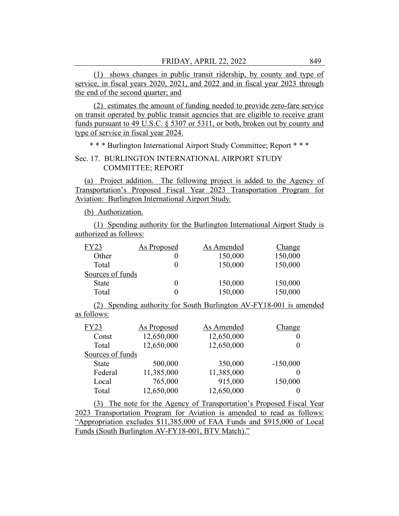(1) shows changes in public transit ridership, by county and type of service, in fiscal years 2020, 2021, and 2022 and in fiscal year 2023 through the end of the second quarter; and

(2) estimates the amount of funding needed to provide zero-fare service on transit operated by public transit agencies that are eligible to receive grant funds pursuant to 49 U.S.C. § 5307 or 5311, or both, broken out by county and type of service in fiscal year 2024.

\* \* \* Burlington International Airport Study Committee; Report \* \* \*

## Sec. 17. BURLINGTON INTERNATIONAL AIRPORT STUDY COMMITTEE; REPORT

(a) Project addition. The following project is added to the Agency of Transportation's Proposed Fiscal Year 2023 Transportation Program for Aviation: Burlington International Airport Study.

(b) Authorization.

(1) Spending authority for the Burlington International Airport Study is authorized as follows:

| FY23             | As Proposed | As Amended | Change  |
|------------------|-------------|------------|---------|
| Other            |             | 150,000    | 150,000 |
| Total            |             | 150,000    | 150,000 |
| Sources of funds |             |            |         |
| State            |             | 150,000    | 150,000 |
| Total            |             | 150,000    | 150,000 |

(2) Spending authority for South Burlington AV-FY18-001 is amended as follows:

| <b>FY23</b>      | <b>As Proposed</b> | As Amended | Change     |
|------------------|--------------------|------------|------------|
| Const            | 12,650,000         | 12,650,000 |            |
| Total            | 12,650,000         | 12,650,000 |            |
| Sources of funds |                    |            |            |
| <b>State</b>     | 500,000            | 350,000    | $-150,000$ |
| Federal          | 11,385,000         | 11,385,000 |            |
| Local            | 765,000            | 915,000    | 150,000    |
| Total            | 12,650,000         | 12,650,000 |            |

(3) The note for the Agency of Transportation's Proposed Fiscal Year 2023 Transportation Program for Aviation is amended to read as follows: "Appropriation excludes \$11,385,000 of FAA Funds and \$915,000 of Local Funds (South Burlington AV-FY18-001, BTV Match)."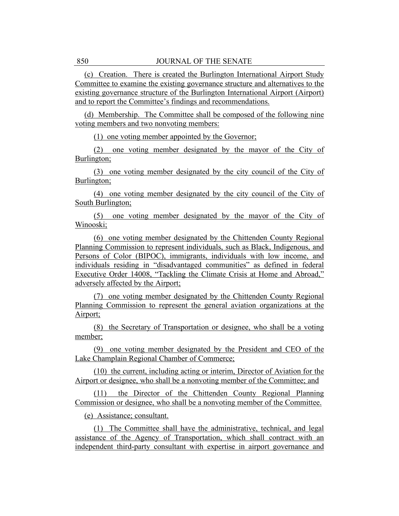(c) Creation. There is created the Burlington International Airport Study Committee to examine the existing governance structure and alternatives to the existing governance structure of the Burlington International Airport (Airport) and to report the Committee's findings and recommendations.

(d) Membership. The Committee shall be composed of the following nine voting members and two nonvoting members:

(1) one voting member appointed by the Governor;

(2) one voting member designated by the mayor of the City of Burlington;

(3) one voting member designated by the city council of the City of Burlington;

(4) one voting member designated by the city council of the City of South Burlington;

(5) one voting member designated by the mayor of the City of Winooski;

(6) one voting member designated by the Chittenden County Regional Planning Commission to represent individuals, such as Black, Indigenous, and Persons of Color (BIPOC), immigrants, individuals with low income, and individuals residing in "disadvantaged communities" as defined in federal Executive Order 14008, "Tackling the Climate Crisis at Home and Abroad," adversely affected by the Airport;

(7) one voting member designated by the Chittenden County Regional Planning Commission to represent the general aviation organizations at the Airport;

(8) the Secretary of Transportation or designee, who shall be a voting member;

(9) one voting member designated by the President and CEO of the Lake Champlain Regional Chamber of Commerce;

(10) the current, including acting or interim, Director of Aviation for the Airport or designee, who shall be a nonvoting member of the Committee; and

(11) the Director of the Chittenden County Regional Planning Commission or designee, who shall be a nonvoting member of the Committee.

(e) Assistance; consultant.

(1) The Committee shall have the administrative, technical, and legal assistance of the Agency of Transportation, which shall contract with an independent third-party consultant with expertise in airport governance and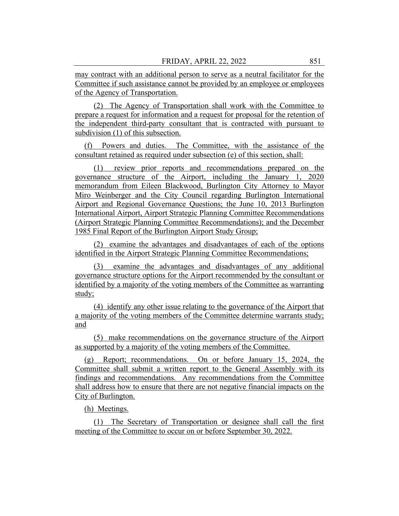may contract with an additional person to serve as a neutral facilitator for the Committee if such assistance cannot be provided by an employee or employees of the Agency of Transportation.

(2) The Agency of Transportation shall work with the Committee to prepare a request for information and a request for proposal for the retention of the independent third-party consultant that is contracted with pursuant to subdivision (1) of this subsection.

(f) Powers and duties. The Committee, with the assistance of the consultant retained as required under subsection (e) of this section, shall:

(1) review prior reports and recommendations prepared on the governance structure of the Airport, including the January 1, 2020 memorandum from Eileen Blackwood, Burlington City Attorney to Mayor Miro Weinberger and the City Council regarding Burlington International Airport and Regional Governance Questions; the June 10, 2013 Burlington International Airport, Airport Strategic Planning Committee Recommendations (Airport Strategic Planning Committee Recommendations); and the December 1985 Final Report of the Burlington Airport Study Group;

(2) examine the advantages and disadvantages of each of the options identified in the Airport Strategic Planning Committee Recommendations;

(3) examine the advantages and disadvantages of any additional governance structure options for the Airport recommended by the consultant or identified by a majority of the voting members of the Committee as warranting study;

(4) identify any other issue relating to the governance of the Airport that a majority of the voting members of the Committee determine warrants study; and

(5) make recommendations on the governance structure of the Airport as supported by a majority of the voting members of the Committee.

(g) Report; recommendations. On or before January 15, 2024, the Committee shall submit a written report to the General Assembly with its findings and recommendations. Any recommendations from the Committee shall address how to ensure that there are not negative financial impacts on the City of Burlington.

(h) Meetings.

(1) The Secretary of Transportation or designee shall call the first meeting of the Committee to occur on or before September 30, 2022.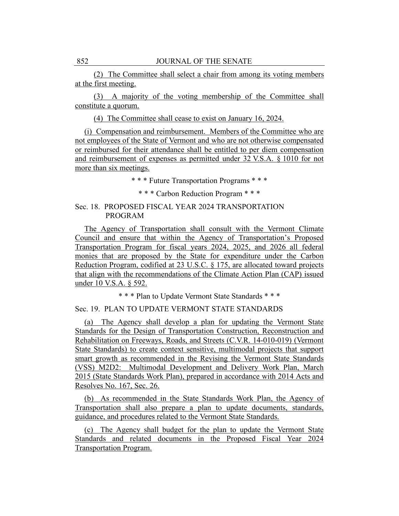(2) The Committee shall select a chair from among its voting members at the first meeting.

(3) A majority of the voting membership of the Committee shall constitute a quorum.

(4) The Committee shall cease to exist on January 16, 2024.

(i) Compensation and reimbursement. Members of the Committee who are not employees of the State of Vermont and who are not otherwise compensated or reimbursed for their attendance shall be entitled to per diem compensation and reimbursement of expenses as permitted under 32 V.S.A. § 1010 for not more than six meetings.

\* \* \* Future Transportation Programs \* \* \*

\* \* \* Carbon Reduction Program \* \* \*

## Sec. 18. PROPOSED FISCAL YEAR 2024 TRANSPORTATION PROGRAM

The Agency of Transportation shall consult with the Vermont Climate Council and ensure that within the Agency of Transportation's Proposed Transportation Program for fiscal years 2024, 2025, and 2026 all federal monies that are proposed by the State for expenditure under the Carbon Reduction Program, codified at 23 U.S.C. § 175, are allocated toward projects that align with the recommendations of the Climate Action Plan (CAP) issued under 10 V.S.A. § 592.

\* \* \* Plan to Update Vermont State Standards \* \* \*

## Sec. 19. PLAN TO UPDATE VERMONT STATE STANDARDS

(a) The Agency shall develop a plan for updating the Vermont State Standards for the Design of Transportation Construction, Reconstruction and Rehabilitation on Freeways, Roads, and Streets (C.V.R. 14-010-019) (Vermont State Standards) to create context sensitive, multimodal projects that support smart growth as recommended in the Revising the Vermont State Standards (VSS) M2D2: Multimodal Development and Delivery Work Plan, March 2015 (State Standards Work Plan), prepared in accordance with 2014 Acts and Resolves No. 167, Sec. 26.

(b) As recommended in the State Standards Work Plan, the Agency of Transportation shall also prepare a plan to update documents, standards, guidance, and procedures related to the Vermont State Standards.

(c) The Agency shall budget for the plan to update the Vermont State Standards and related documents in the Proposed Fiscal Year 2024 Transportation Program.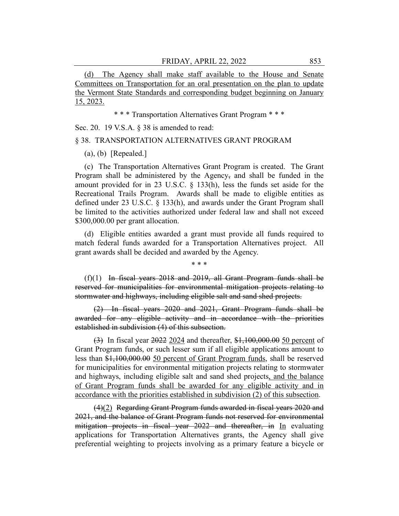(d) The Agency shall make staff available to the House and Senate Committees on Transportation for an oral presentation on the plan to update the Vermont State Standards and corresponding budget beginning on January 15, 2023.

\* \* \* Transportation Alternatives Grant Program \* \* \*

Sec. 20. 19 V.S.A. § 38 is amended to read:

#### § 38. TRANSPORTATION ALTERNATIVES GRANT PROGRAM

(a), (b) [Repealed.]

(c) The Transportation Alternatives Grant Program is created. The Grant Program shall be administered by the Agency, and shall be funded in the amount provided for in 23 U.S.C. § 133(h), less the funds set aside for the Recreational Trails Program. Awards shall be made to eligible entities as defined under 23 U.S.C. § 133(h), and awards under the Grant Program shall be limited to the activities authorized under federal law and shall not exceed \$300,000.00 per grant allocation.

(d) Eligible entities awarded a grant must provide all funds required to match federal funds awarded for a Transportation Alternatives project. All grant awards shall be decided and awarded by the Agency.

\* \* \*

(f)(1) In fiscal years 2018 and 2019, all Grant Program funds shall be reserved for municipalities for environmental mitigation projects relating to stormwater and highways, including eligible salt and sand shed projects.

(2) In fiscal years 2020 and 2021, Grant Program funds shall be awarded for any eligible activity and in accordance with the priorities established in subdivision (4) of this subsection.

(3) In fiscal year 2022 2024 and thereafter, \$1,100,000.00 50 percent of Grant Program funds, or such lesser sum if all eligible applications amount to less than \$1,100,000.00 50 percent of Grant Program funds, shall be reserved for municipalities for environmental mitigation projects relating to stormwater and highways, including eligible salt and sand shed projects, and the balance of Grant Program funds shall be awarded for any eligible activity and in accordance with the priorities established in subdivision (2) of this subsection.

(4)(2) Regarding Grant Program funds awarded in fiscal years 2020 and 2021, and the balance of Grant Program funds not reserved for environmental mitigation projects in fiscal year 2022 and thereafter, in In evaluating applications for Transportation Alternatives grants, the Agency shall give preferential weighting to projects involving as a primary feature a bicycle or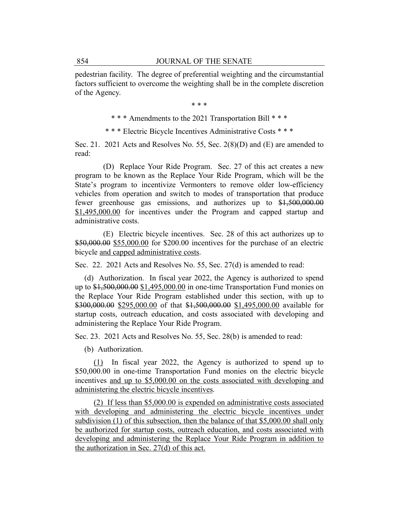pedestrian facility. The degree of preferential weighting and the circumstantial factors sufficient to overcome the weighting shall be in the complete discretion of the Agency.

\* \* \*

\* \* \* Amendments to the 2021 Transportation Bill \* \* \*

\* \* \* Electric Bicycle Incentives Administrative Costs \* \* \*

Sec. 21. 2021 Acts and Resolves No. 55, Sec. 2(8)(D) and (E) are amended to read:

(D) Replace Your Ride Program. Sec. 27 of this act creates a new program to be known as the Replace Your Ride Program, which will be the State's program to incentivize Vermonters to remove older low-efficiency vehicles from operation and switch to modes of transportation that produce fewer greenhouse gas emissions, and authorizes up to \$1,500,000.00 \$1,495,000.00 for incentives under the Program and capped startup and administrative costs.

(E) Electric bicycle incentives. Sec. 28 of this act authorizes up to \$50,000.00 \$55,000.00 for \$200.00 incentives for the purchase of an electric bicycle and capped administrative costs.

Sec. 22. 2021 Acts and Resolves No. 55, Sec. 27(d) is amended to read:

(d) Authorization. In fiscal year 2022, the Agency is authorized to spend up to \$1,500,000.00 \$1,495,000.00 in one-time Transportation Fund monies on the Replace Your Ride Program established under this section, with up to \$300,000.00 \$295,000.00 of that \$1,500,000.00 \$1,495,000.00 available for startup costs, outreach education, and costs associated with developing and administering the Replace Your Ride Program.

Sec. 23. 2021 Acts and Resolves No. 55, Sec. 28(b) is amended to read:

(b) Authorization.

(1) In fiscal year 2022, the Agency is authorized to spend up to \$50,000.00 in one-time Transportation Fund monies on the electric bicycle incentives and up to \$5,000.00 on the costs associated with developing and administering the electric bicycle incentives.

(2) If less than \$5,000.00 is expended on administrative costs associated with developing and administering the electric bicycle incentives under subdivision (1) of this subsection, then the balance of that \$5,000.00 shall only be authorized for startup costs, outreach education, and costs associated with developing and administering the Replace Your Ride Program in addition to the authorization in Sec. 27(d) of this act.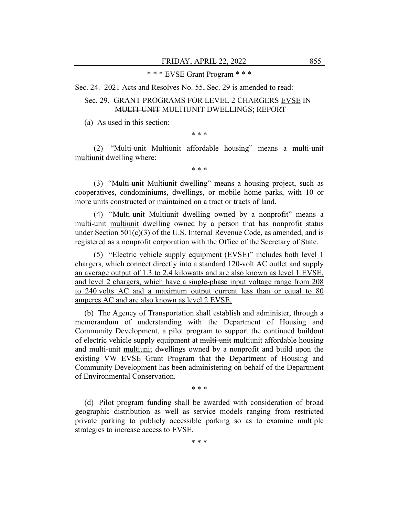## \* \* \* EVSE Grant Program \* \* \*

Sec. 24. 2021 Acts and Resolves No. 55, Sec. 29 is amended to read:

## Sec. 29. GRANT PROGRAMS FOR LEVEL 2 CHARGERS EVSE IN MULTI-UNIT MULTIUNIT DWELLINGS; REPORT

(a) As used in this section:

\* \* \*

(2) "Multi-unit Multiunit affordable housing" means a multi-unit multiunit dwelling where:

\* \* \*

(3) "Multi-unit Multiunit dwelling" means a housing project, such as cooperatives, condominiums, dwellings, or mobile home parks, with 10 or more units constructed or maintained on a tract or tracts of land.

(4) "Multi-unit Multiunit dwelling owned by a nonprofit" means a multi-unit multiunit dwelling owned by a person that has nonprofit status under Section  $501(c)(3)$  of the U.S. Internal Revenue Code, as amended, and is registered as a nonprofit corporation with the Office of the Secretary of State.

(5) "Electric vehicle supply equipment (EVSE)" includes both level 1 chargers, which connect directly into a standard 120-volt AC outlet and supply an average output of 1.3 to 2.4 kilowatts and are also known as level 1 EVSE, and level 2 chargers, which have a single-phase input voltage range from 208 to 240 volts AC and a maximum output current less than or equal to 80 amperes AC and are also known as level 2 EVSE.

(b) The Agency of Transportation shall establish and administer, through a memorandum of understanding with the Department of Housing and Community Development, a pilot program to support the continued buildout of electric vehicle supply equipment at multi-unit multiunit affordable housing and multi-unit multiunit dwellings owned by a nonprofit and build upon the existing VW EVSE Grant Program that the Department of Housing and Community Development has been administering on behalf of the Department of Environmental Conservation.

\* \* \*

(d) Pilot program funding shall be awarded with consideration of broad geographic distribution as well as service models ranging from restricted private parking to publicly accessible parking so as to examine multiple strategies to increase access to EVSE.

\* \* \*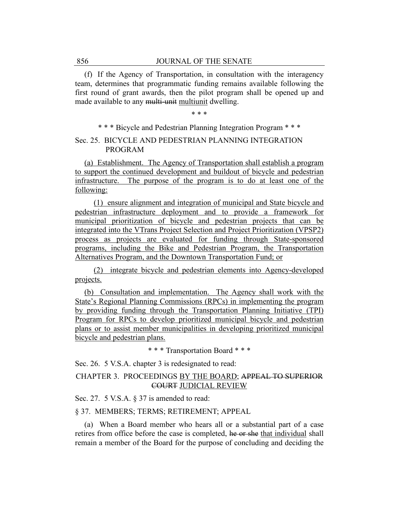(f) If the Agency of Transportation, in consultation with the interagency team, determines that programmatic funding remains available following the first round of grant awards, then the pilot program shall be opened up and made available to any multi-unit multiunit dwelling.

\* \* \*

\* \* \* Bicycle and Pedestrian Planning Integration Program \* \* \*

## Sec. 25. BICYCLE AND PEDESTRIAN PLANNING INTEGRATION PROGRAM

(a) Establishment. The Agency of Transportation shall establish a program to support the continued development and buildout of bicycle and pedestrian infrastructure. The purpose of the program is to do at least one of the following:

(1) ensure alignment and integration of municipal and State bicycle and pedestrian infrastructure deployment and to provide a framework for municipal prioritization of bicycle and pedestrian projects that can be integrated into the VTrans Project Selection and Project Prioritization (VPSP2) process as projects are evaluated for funding through State-sponsored programs, including the Bike and Pedestrian Program, the Transportation Alternatives Program, and the Downtown Transportation Fund; or

(2) integrate bicycle and pedestrian elements into Agency-developed projects.

(b) Consultation and implementation. The Agency shall work with the State's Regional Planning Commissions (RPCs) in implementing the program by providing funding through the Transportation Planning Initiative (TPI) Program for RPCs to develop prioritized municipal bicycle and pedestrian plans or to assist member municipalities in developing prioritized municipal bicycle and pedestrian plans.

\* \* \* Transportation Board \* \* \*

Sec. 26. 5 V.S.A. chapter 3 is redesignated to read:

## CHAPTER 3. PROCEEDINGS BY THE BOARD; APPEAL TO SUPERIOR COURT JUDICIAL REVIEW

Sec. 27. 5 V.S.A. § 37 is amended to read:

#### § 37. MEMBERS; TERMS; RETIREMENT; APPEAL

(a) When a Board member who hears all or a substantial part of a case retires from office before the case is completed, he or she that individual shall remain a member of the Board for the purpose of concluding and deciding the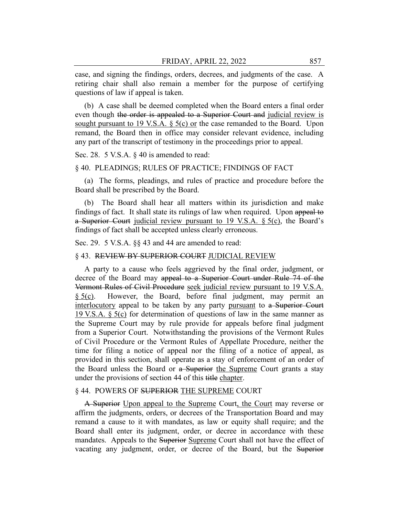case, and signing the findings, orders, decrees, and judgments of the case. A retiring chair shall also remain a member for the purpose of certifying questions of law if appeal is taken.

(b) A case shall be deemed completed when the Board enters a final order even though the order is appealed to a Superior Court and judicial review is sought pursuant to 19 V.S.A.  $\S$  5(c) or the case remanded to the Board. Upon remand, the Board then in office may consider relevant evidence, including any part of the transcript of testimony in the proceedings prior to appeal.

Sec. 28. 5 V.S.A. § 40 is amended to read:

#### § 40. PLEADINGS; RULES OF PRACTICE; FINDINGS OF FACT

(a) The forms, pleadings, and rules of practice and procedure before the Board shall be prescribed by the Board.

(b) The Board shall hear all matters within its jurisdiction and make findings of fact. It shall state its rulings of law when required. Upon appeal to a Superior Court judicial review pursuant to 19 V.S.A.  $\S$  5(c), the Board's findings of fact shall be accepted unless clearly erroneous.

Sec. 29. 5 V.S.A. §§ 43 and 44 are amended to read:

## § 43. REVIEW BY SUPERIOR COURT JUDICIAL REVIEW

A party to a cause who feels aggrieved by the final order, judgment, or decree of the Board may appeal to a Superior Court under Rule 74 of the Vermont Rules of Civil Procedure seek judicial review pursuant to 19 V.S.A. § 5(c). However, the Board, before final judgment, may permit an interlocutory appeal to be taken by any party pursuant to a Superior Court 19 V.S.A. § 5(c) for determination of questions of law in the same manner as the Supreme Court may by rule provide for appeals before final judgment from a Superior Court. Notwithstanding the provisions of the Vermont Rules of Civil Procedure or the Vermont Rules of Appellate Procedure, neither the time for filing a notice of appeal nor the filing of a notice of appeal, as provided in this section, shall operate as a stay of enforcement of an order of the Board unless the Board or a Superior the Supreme Court grants a stay under the provisions of section 44 of this title chapter.

#### § 44. POWERS OF SUPERIOR THE SUPREME COURT

A Superior Upon appeal to the Supreme Court, the Court may reverse or affirm the judgments, orders, or decrees of the Transportation Board and may remand a cause to it with mandates, as law or equity shall require; and the Board shall enter its judgment, order, or decree in accordance with these mandates. Appeals to the Superior Supreme Court shall not have the effect of vacating any judgment, order, or decree of the Board, but the Superior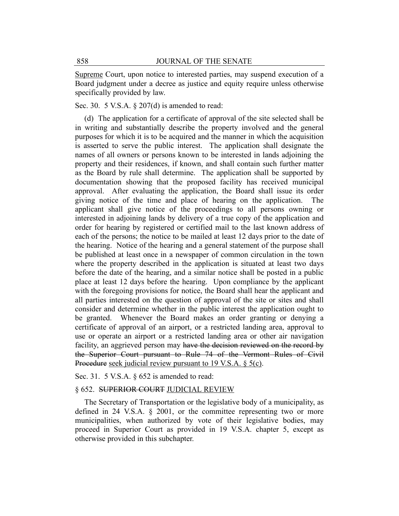Supreme Court, upon notice to interested parties, may suspend execution of a Board judgment under a decree as justice and equity require unless otherwise specifically provided by law.

Sec. 30. 5 V.S.A. § 207(d) is amended to read:

(d) The application for a certificate of approval of the site selected shall be in writing and substantially describe the property involved and the general purposes for which it is to be acquired and the manner in which the acquisition is asserted to serve the public interest. The application shall designate the names of all owners or persons known to be interested in lands adjoining the property and their residences, if known, and shall contain such further matter as the Board by rule shall determine. The application shall be supported by documentation showing that the proposed facility has received municipal approval. After evaluating the application, the Board shall issue its order giving notice of the time and place of hearing on the application. The applicant shall give notice of the proceedings to all persons owning or interested in adjoining lands by delivery of a true copy of the application and order for hearing by registered or certified mail to the last known address of each of the persons; the notice to be mailed at least 12 days prior to the date of the hearing. Notice of the hearing and a general statement of the purpose shall be published at least once in a newspaper of common circulation in the town where the property described in the application is situated at least two days before the date of the hearing, and a similar notice shall be posted in a public place at least 12 days before the hearing. Upon compliance by the applicant with the foregoing provisions for notice, the Board shall hear the applicant and all parties interested on the question of approval of the site or sites and shall consider and determine whether in the public interest the application ought to be granted. Whenever the Board makes an order granting or denying a certificate of approval of an airport, or a restricted landing area, approval to use or operate an airport or a restricted landing area or other air navigation facility, an aggrieved person may have the decision reviewed on the record by the Superior Court pursuant to Rule 74 of the Vermont Rules of Civil Procedure seek judicial review pursuant to 19 V.S.A. § 5(c).

Sec. 31. 5 V.S.A. § 652 is amended to read:

#### § 652. SUPERIOR COURT JUDICIAL REVIEW

The Secretary of Transportation or the legislative body of a municipality, as defined in 24 V.S.A. § 2001, or the committee representing two or more municipalities, when authorized by vote of their legislative bodies, may proceed in Superior Court as provided in 19 V.S.A. chapter 5, except as otherwise provided in this subchapter.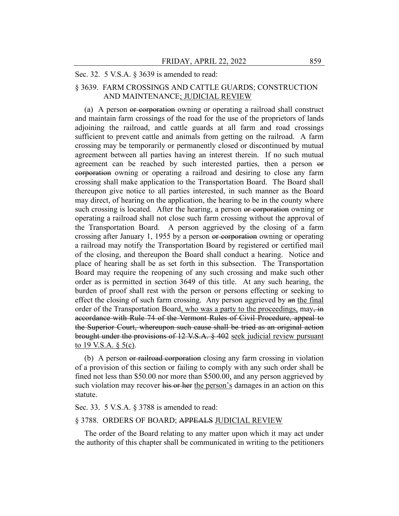#### Sec. 32. 5 V.S.A. § 3639 is amended to read:

## § 3639. FARM CROSSINGS AND CATTLE GUARDS; CONSTRUCTION AND MAINTENANCE; JUDICIAL REVIEW

(a) A person or corporation owning or operating a railroad shall construct and maintain farm crossings of the road for the use of the proprietors of lands adjoining the railroad, and cattle guards at all farm and road crossings sufficient to prevent cattle and animals from getting on the railroad. A farm crossing may be temporarily or permanently closed or discontinued by mutual agreement between all parties having an interest therein. If no such mutual agreement can be reached by such interested parties, then a person or corporation owning or operating a railroad and desiring to close any farm crossing shall make application to the Transportation Board. The Board shall thereupon give notice to all parties interested, in such manner as the Board may direct, of hearing on the application, the hearing to be in the county where such crossing is located. After the hearing, a person or corporation owning or operating a railroad shall not close such farm crossing without the approval of the Transportation Board. A person aggrieved by the closing of a farm crossing after January 1, 1955 by a person or corporation owning or operating a railroad may notify the Transportation Board by registered or certified mail of the closing, and thereupon the Board shall conduct a hearing. Notice and place of hearing shall be as set forth in this subsection. The Transportation Board may require the reopening of any such crossing and make such other order as is permitted in section 3649 of this title. At any such hearing, the burden of proof shall rest with the person or persons effecting or seeking to effect the closing of such farm crossing. Any person aggrieved by an the final order of the Transportation Board, who was a party to the proceedings, may, in accordance with Rule 74 of the Vermont Rules of Civil Procedure, appeal to the Superior Court, whereupon such cause shall be tried as an original action brought under the provisions of 12 V.S.A. § 402 seek judicial review pursuant to 19 V.S.A.  $\S$  5(c).

(b) A person or railroad corporation closing any farm crossing in violation of a provision of this section or failing to comply with any such order shall be fined not less than \$50.00 nor more than \$500.00, and any person aggrieved by such violation may recover his or her the person's damages in an action on this statute.

#### Sec. 33. 5 V.S.A. § 3788 is amended to read:

## § 3788. ORDERS OF BOARD; APPEALS JUDICIAL REVIEW

The order of the Board relating to any matter upon which it may act under the authority of this chapter shall be communicated in writing to the petitioners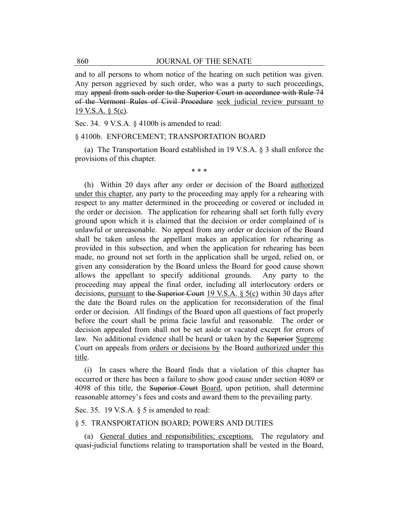and to all persons to whom notice of the hearing on such petition was given. Any person aggrieved by such order, who was a party to such proceedings, may appeal from such order to the Superior Court in accordance with Rule 74 of the Vermont Rules of Civil Procedure seek judicial review pursuant to  $19$  V.S.A. § 5(c).

Sec. 34. 9 V.S.A. § 4100b is amended to read:

#### § 4100b. ENFORCEMENT; TRANSPORTATION BOARD

(a) The Transportation Board established in 19 V.S.A. § 3 shall enforce the provisions of this chapter.

\* \* \*

(h) Within 20 days after any order or decision of the Board authorized under this chapter, any party to the proceeding may apply for a rehearing with respect to any matter determined in the proceeding or covered or included in the order or decision. The application for rehearing shall set forth fully every ground upon which it is claimed that the decision or order complained of is unlawful or unreasonable. No appeal from any order or decision of the Board shall be taken unless the appellant makes an application for rehearing as provided in this subsection, and when the application for rehearing has been made, no ground not set forth in the application shall be urged, relied on, or given any consideration by the Board unless the Board for good cause shown allows the appellant to specify additional grounds. Any party to the proceeding may appeal the final order, including all interlocutory orders or decisions, pursuant to the Superior Court 19 V.S.A. § 5(c) within 30 days after the date the Board rules on the application for reconsideration of the final order or decision. All findings of the Board upon all questions of fact properly before the court shall be prima facie lawful and reasonable. The order or decision appealed from shall not be set aside or vacated except for errors of law. No additional evidence shall be heard or taken by the Superior Supreme Court on appeals from orders or decisions by the Board authorized under this title.

(i) In cases where the Board finds that a violation of this chapter has occurred or there has been a failure to show good cause under section 4089 or 4098 of this title, the Superior Court Board, upon petition, shall determine reasonable attorney's fees and costs and award them to the prevailing party.

Sec. 35. 19 V.S.A. § 5 is amended to read:

#### § 5. TRANSPORTATION BOARD; POWERS AND DUTIES

(a) General duties and responsibilities; exceptions. The regulatory and quasi-judicial functions relating to transportation shall be vested in the Board,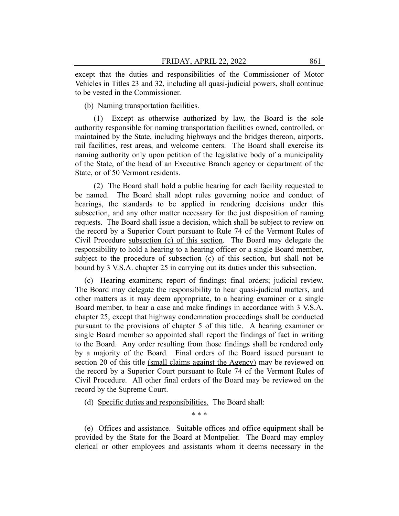except that the duties and responsibilities of the Commissioner of Motor Vehicles in Titles 23 and 32, including all quasi-judicial powers, shall continue to be vested in the Commissioner.

(b) Naming transportation facilities.

(1) Except as otherwise authorized by law, the Board is the sole authority responsible for naming transportation facilities owned, controlled, or maintained by the State, including highways and the bridges thereon, airports, rail facilities, rest areas, and welcome centers. The Board shall exercise its naming authority only upon petition of the legislative body of a municipality of the State, of the head of an Executive Branch agency or department of the State, or of 50 Vermont residents.

(2) The Board shall hold a public hearing for each facility requested to be named. The Board shall adopt rules governing notice and conduct of hearings, the standards to be applied in rendering decisions under this subsection, and any other matter necessary for the just disposition of naming requests. The Board shall issue a decision, which shall be subject to review on the record by a Superior Court pursuant to Rule 74 of the Vermont Rules of Civil Procedure subsection (c) of this section. The Board may delegate the responsibility to hold a hearing to a hearing officer or a single Board member, subject to the procedure of subsection (c) of this section, but shall not be bound by 3 V.S.A. chapter 25 in carrying out its duties under this subsection.

(c) Hearing examiners; report of findings; final orders; judicial review. The Board may delegate the responsibility to hear quasi-judicial matters, and other matters as it may deem appropriate, to a hearing examiner or a single Board member, to hear a case and make findings in accordance with 3 V.S.A. chapter 25, except that highway condemnation proceedings shall be conducted pursuant to the provisions of chapter 5 of this title. A hearing examiner or single Board member so appointed shall report the findings of fact in writing to the Board. Any order resulting from those findings shall be rendered only by a majority of the Board. Final orders of the Board issued pursuant to section 20 of this title (small claims against the Agency) may be reviewed on the record by a Superior Court pursuant to Rule 74 of the Vermont Rules of Civil Procedure. All other final orders of the Board may be reviewed on the record by the Supreme Court.

(d) Specific duties and responsibilities. The Board shall:

\* \* \*

(e) Offices and assistance. Suitable offices and office equipment shall be provided by the State for the Board at Montpelier. The Board may employ clerical or other employees and assistants whom it deems necessary in the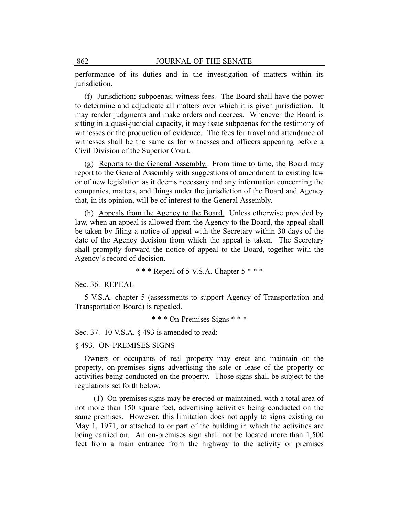performance of its duties and in the investigation of matters within its jurisdiction.

(f) Jurisdiction; subpoenas; witness fees. The Board shall have the power to determine and adjudicate all matters over which it is given jurisdiction. It may render judgments and make orders and decrees. Whenever the Board is sitting in a quasi-judicial capacity, it may issue subpoenas for the testimony of witnesses or the production of evidence. The fees for travel and attendance of witnesses shall be the same as for witnesses and officers appearing before a Civil Division of the Superior Court.

(g) Reports to the General Assembly. From time to time, the Board may report to the General Assembly with suggestions of amendment to existing law or of new legislation as it deems necessary and any information concerning the companies, matters, and things under the jurisdiction of the Board and Agency that, in its opinion, will be of interest to the General Assembly.

(h) Appeals from the Agency to the Board. Unless otherwise provided by law, when an appeal is allowed from the Agency to the Board, the appeal shall be taken by filing a notice of appeal with the Secretary within 30 days of the date of the Agency decision from which the appeal is taken. The Secretary shall promptly forward the notice of appeal to the Board, together with the Agency's record of decision.

\* \* \* Repeal of 5 V.S.A. Chapter 5 \* \* \*

Sec. 36. REPEAL

5 V.S.A. chapter 5 (assessments to support Agency of Transportation and Transportation Board) is repealed.

\* \* \* On-Premises Signs \* \* \*

Sec. 37. 10 V.S.A. § 493 is amended to read:

§ 493. ON-PREMISES SIGNS

Owners or occupants of real property may erect and maintain on the property, on-premises signs advertising the sale or lease of the property or activities being conducted on the property. Those signs shall be subject to the regulations set forth below.

(1) On-premises signs may be erected or maintained, with a total area of not more than 150 square feet, advertising activities being conducted on the same premises. However, this limitation does not apply to signs existing on May 1, 1971, or attached to or part of the building in which the activities are being carried on. An on-premises sign shall not be located more than 1,500 feet from a main entrance from the highway to the activity or premises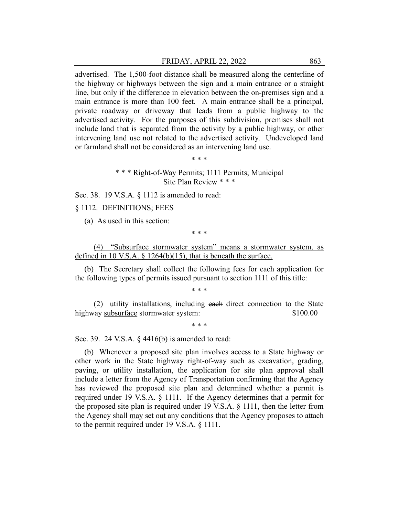advertised. The 1,500-foot distance shall be measured along the centerline of the highway or highways between the sign and a main entrance or a straight line, but only if the difference in elevation between the on-premises sign and a main entrance is more than 100 feet. A main entrance shall be a principal, private roadway or driveway that leads from a public highway to the advertised activity. For the purposes of this subdivision, premises shall not include land that is separated from the activity by a public highway, or other intervening land use not related to the advertised activity. Undeveloped land or farmland shall not be considered as an intervening land use.

\* \* \*

\* \* \* Right-of-Way Permits; 1111 Permits; Municipal Site Plan Review \* \* \*

Sec. 38. 19 V.S.A. § 1112 is amended to read:

#### § 1112. DEFINITIONS; FEES

(a) As used in this section:

\* \* \*

(4) "Subsurface stormwater system" means a stormwater system, as defined in 10 V.S.A.  $\S$  1264(b)(15), that is beneath the surface.

(b) The Secretary shall collect the following fees for each application for the following types of permits issued pursuant to section 1111 of this title:

\* \* \*

(2) utility installations, including each direct connection to the State highway subsurface stormwater system:  $$100.00$ 

\* \* \*

Sec. 39. 24 V.S.A. § 4416(b) is amended to read:

(b) Whenever a proposed site plan involves access to a State highway or other work in the State highway right-of-way such as excavation, grading, paving, or utility installation, the application for site plan approval shall include a letter from the Agency of Transportation confirming that the Agency has reviewed the proposed site plan and determined whether a permit is required under 19 V.S.A. § 1111. If the Agency determines that a permit for the proposed site plan is required under 19 V.S.A. § 1111, then the letter from the Agency shall may set out any conditions that the Agency proposes to attach to the permit required under 19 V.S.A. § 1111.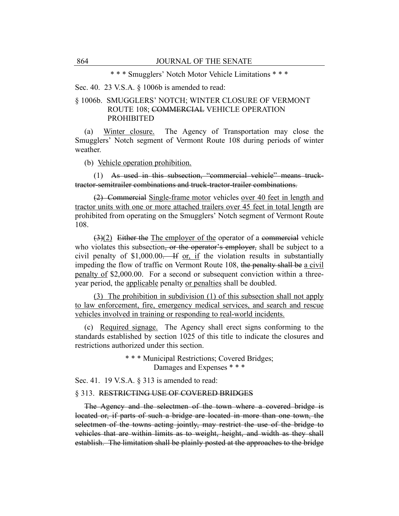\* \* \* Smugglers' Notch Motor Vehicle Limitations \* \* \*

Sec. 40. 23 V.S.A. § 1006b is amended to read:

## § 1006b. SMUGGLERS' NOTCH; WINTER CLOSURE OF VERMONT ROUTE 108; COMMERCIAL VEHICLE OPERATION PROHIBITED

(a) Winter closure. The Agency of Transportation may close the Smugglers' Notch segment of Vermont Route 108 during periods of winter weather.

(b) Vehicle operation prohibition.

(1) As used in this subsection, "commercial vehicle" means trucktractor-semitrailer combinations and truck-tractor-trailer combinations.

(2) Commercial Single-frame motor vehicles over 40 feet in length and tractor units with one or more attached trailers over 45 feet in total length are prohibited from operating on the Smugglers' Notch segment of Vermont Route 108.

 $(3)(2)$  Either the The employer of the operator of a commercial vehicle who violates this subsection, or the operator's employer, shall be subject to a civil penalty of  $$1,000.00$ . If or, if the violation results in substantially impeding the flow of traffic on Vermont Route 108, the penalty shall be a civil penalty of \$2,000.00. For a second or subsequent conviction within a threeyear period, the applicable penalty or penalties shall be doubled.

(3) The prohibition in subdivision (1) of this subsection shall not apply to law enforcement, fire, emergency medical services, and search and rescue vehicles involved in training or responding to real-world incidents.

(c) Required signage. The Agency shall erect signs conforming to the standards established by section 1025 of this title to indicate the closures and restrictions authorized under this section.

> \* \* \* Municipal Restrictions; Covered Bridges; Damages and Expenses \* \* \*

Sec. 41. 19 V.S.A. § 313 is amended to read:

#### § 313. RESTRICTING USE OF COVERED BRIDGES

The Agency and the selectmen of the town where a covered bridge is located or, if parts of such a bridge are located in more than one town, the selectmen of the towns acting jointly, may restrict the use of the bridge to vehicles that are within limits as to weight, height, and width as they shall establish. The limitation shall be plainly posted at the approaches to the bridge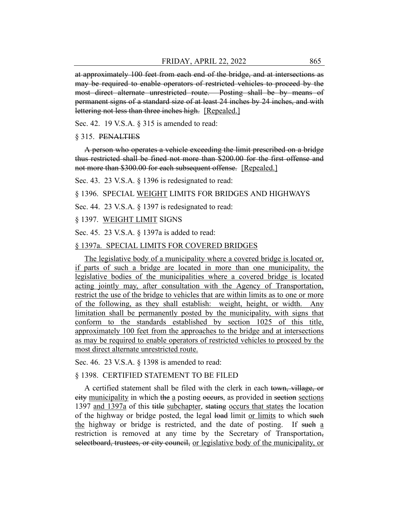at approximately 100 feet from each end of the bridge, and at intersections as may be required to enable operators of restricted vehicles to proceed by the most direct alternate unrestricted route. Posting shall be by means of permanent signs of a standard size of at least 24 inches by 24 inches, and with lettering not less than three inches high. [Repealed.]

Sec. 42. 19 V.S.A. § 315 is amended to read:

#### § 315. PENALTIES

A person who operates a vehicle exceeding the limit prescribed on a bridge thus restricted shall be fined not more than \$200.00 for the first offense and not more than \$300.00 for each subsequent offense. [Repealed.]

Sec. 43. 23 V.S.A. § 1396 is redesignated to read:

§ 1396. SPECIAL WEIGHT LIMITS FOR BRIDGES AND HIGHWAYS

Sec. 44. 23 V.S.A. § 1397 is redesignated to read:

§ 1397. WEIGHT LIMIT SIGNS

Sec. 45. 23 V.S.A. § 1397a is added to read:

#### § 1397a. SPECIAL LIMITS FOR COVERED BRIDGES

The legislative body of a municipality where a covered bridge is located or, if parts of such a bridge are located in more than one municipality, the legislative bodies of the municipalities where a covered bridge is located acting jointly may, after consultation with the Agency of Transportation, restrict the use of the bridge to vehicles that are within limits as to one or more of the following, as they shall establish: weight, height, or width. Any limitation shall be permanently posted by the municipality, with signs that conform to the standards established by section 1025 of this title, approximately 100 feet from the approaches to the bridge and at intersections as may be required to enable operators of restricted vehicles to proceed by the most direct alternate unrestricted route.

Sec. 46. 23 V.S.A. § 1398 is amended to read:

#### § 1398. CERTIFIED STATEMENT TO BE FILED

A certified statement shall be filed with the clerk in each town, village, or city municipality in which the a posting occurs, as provided in section sections 1397 and 1397a of this title subchapter, stating occurs that states the location of the highway or bridge posted, the legal load limit or limits to which such the highway or bridge is restricted, and the date of posting. If such a restriction is removed at any time by the Secretary of Transportation, selectboard, trustees, or city council, or legislative body of the municipality, or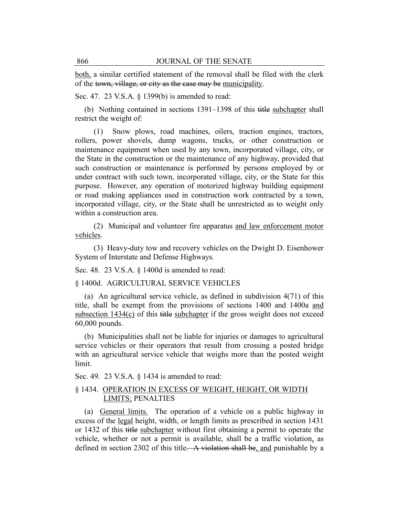both, a similar certified statement of the removal shall be filed with the clerk of the town, village, or city as the case may be municipality.

Sec. 47. 23 V.S.A. § 1399(b) is amended to read:

(b) Nothing contained in sections 1391–1398 of this title subchapter shall restrict the weight of:

(1) Snow plows, road machines, oilers, traction engines, tractors, rollers, power shovels, dump wagons, trucks, or other construction or maintenance equipment when used by any town, incorporated village, city, or the State in the construction or the maintenance of any highway, provided that such construction or maintenance is performed by persons employed by or under contract with such town, incorporated village, city, or the State for this purpose. However, any operation of motorized highway building equipment or road making appliances used in construction work contracted by a town, incorporated village, city, or the State shall be unrestricted as to weight only within a construction area.

(2) Municipal and volunteer fire apparatus and law enforcement motor vehicles.

(3) Heavy-duty tow and recovery vehicles on the Dwight D. Eisenhower System of Interstate and Defense Highways.

Sec. 48. 23 V.S.A. § 1400d is amended to read:

§ 1400d. AGRICULTURAL SERVICE VEHICLES

(a) An agricultural service vehicle, as defined in subdivision 4(71) of this title, shall be exempt from the provisions of sections 1400 and 1400a and subsection  $1434(c)$  of this title subchapter if the gross weight does not exceed 60,000 pounds.

(b) Municipalities shall not be liable for injuries or damages to agricultural service vehicles or their operators that result from crossing a posted bridge with an agricultural service vehicle that weighs more than the posted weight limit.

Sec. 49. 23 V.S.A. § 1434 is amended to read:

## § 1434. OPERATION IN EXCESS OF WEIGHT, HEIGHT, OR WIDTH LIMITS; PENALTIES

(a) General limits. The operation of a vehicle on a public highway in excess of the legal height, width, or length limits as prescribed in section 1431 or 1432 of this title subchapter without first obtaining a permit to operate the vehicle, whether or not a permit is available, shall be a traffic violation, as defined in section 2302 of this title. A violation shall be, and punishable by a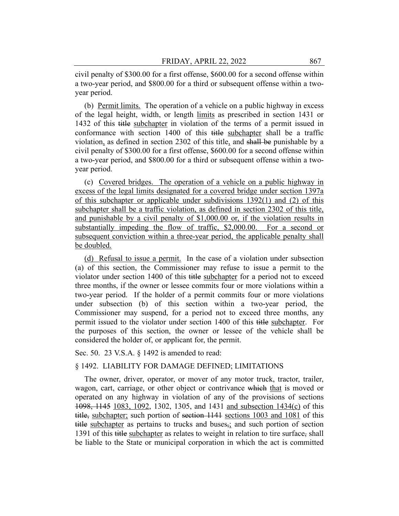civil penalty of \$300.00 for a first offense, \$600.00 for a second offense within a two-year period, and \$800.00 for a third or subsequent offense within a twoyear period.

(b) Permit limits. The operation of a vehicle on a public highway in excess of the legal height, width, or length limits as prescribed in section 1431 or 1432 of this title subchapter in violation of the terms of a permit issued in conformance with section 1400 of this title subchapter shall be a traffic violation, as defined in section 2302 of this title, and shall be punishable by a civil penalty of \$300.00 for a first offense, \$600.00 for a second offense within a two-year period, and \$800.00 for a third or subsequent offense within a twoyear period.

(c) Covered bridges. The operation of a vehicle on a public highway in excess of the legal limits designated for a covered bridge under section 1397a of this subchapter or applicable under subdivisions 1392(1) and (2) of this subchapter shall be a traffic violation, as defined in section 2302 of this title, and punishable by a civil penalty of \$1,000.00 or, if the violation results in substantially impeding the flow of traffic, \$2,000.00. For a second or subsequent conviction within a three-year period, the applicable penalty shall be doubled.

(d) Refusal to issue a permit. In the case of a violation under subsection (a) of this section, the Commissioner may refuse to issue a permit to the violator under section 1400 of this title subchapter for a period not to exceed three months, if the owner or lessee commits four or more violations within a two-year period. If the holder of a permit commits four or more violations under subsection (b) of this section within a two-year period, the Commissioner may suspend, for a period not to exceed three months, any permit issued to the violator under section 1400 of this title subchapter. For the purposes of this section, the owner or lessee of the vehicle shall be considered the holder of, or applicant for, the permit.

Sec. 50. 23 V.S.A. § 1492 is amended to read:

#### § 1492. LIABILITY FOR DAMAGE DEFINED; LIMITATIONS

The owner, driver, operator, or mover of any motor truck, tractor, trailer, wagon, cart, carriage, or other object or contrivance which that is moved or operated on any highway in violation of any of the provisions of sections 1098, 1145 1083, 1092, 1302, 1305, and 1431 and subsection 1434(c) of this title, subchapter; such portion of section 1141 sections 1003 and 1081 of this title subchapter as pertains to trucks and buses<sub> $\tilde{x}$ </sub> and such portion of section 1391 of this title subchapter as relates to weight in relation to tire surface, shall be liable to the State or municipal corporation in which the act is committed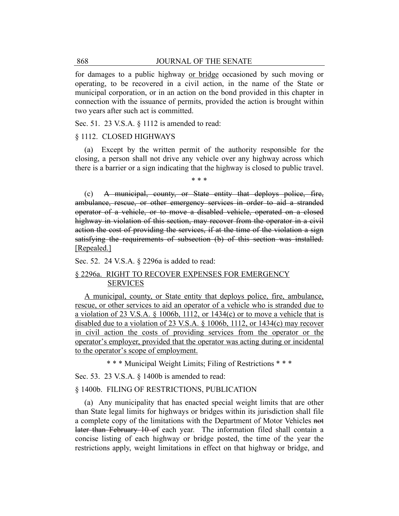for damages to a public highway or bridge occasioned by such moving or operating, to be recovered in a civil action, in the name of the State or municipal corporation, or in an action on the bond provided in this chapter in connection with the issuance of permits, provided the action is brought within two years after such act is committed.

Sec. 51. 23 V.S.A. § 1112 is amended to read:

#### § 1112. CLOSED HIGHWAYS

(a) Except by the written permit of the authority responsible for the closing, a person shall not drive any vehicle over any highway across which there is a barrier or a sign indicating that the highway is closed to public travel.

\* \* \*

(c) A municipal, county, or State entity that deploys police, fire, ambulance, rescue, or other emergency services in order to aid a stranded operator of a vehicle, or to move a disabled vehicle, operated on a closed highway in violation of this section, may recover from the operator in a civil action the cost of providing the services, if at the time of the violation a sign satisfying the requirements of subsection (b) of this section was installed. [Repealed.]

Sec. 52. 24 V.S.A. § 2296a is added to read:

## § 2296a. RIGHT TO RECOVER EXPENSES FOR EMERGENCY SERVICES

A municipal, county, or State entity that deploys police, fire, ambulance, rescue, or other services to aid an operator of a vehicle who is stranded due to a violation of 23 V.S.A.  $\S$  1006b, 1112, or 1434(c) or to move a vehicle that is disabled due to a violation of 23 V.S.A. § 1006b, 1112, or 1434(c) may recover in civil action the costs of providing services from the operator or the operator's employer, provided that the operator was acting during or incidental to the operator's scope of employment.

\* \* \* Municipal Weight Limits; Filing of Restrictions \* \* \*

Sec. 53. 23 V.S.A. § 1400b is amended to read:

#### § 1400b. FILING OF RESTRICTIONS, PUBLICATION

(a) Any municipality that has enacted special weight limits that are other than State legal limits for highways or bridges within its jurisdiction shall file a complete copy of the limitations with the Department of Motor Vehicles not later than February 10 of each year. The information filed shall contain a concise listing of each highway or bridge posted, the time of the year the restrictions apply, weight limitations in effect on that highway or bridge, and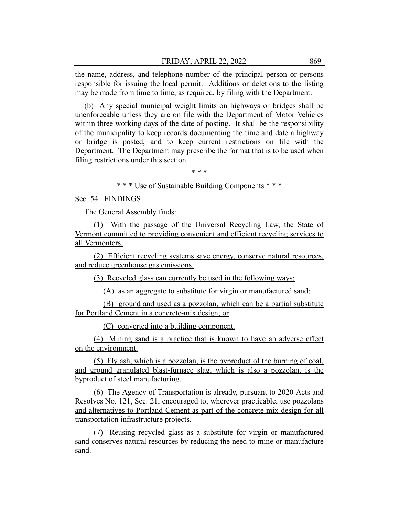the name, address, and telephone number of the principal person or persons responsible for issuing the local permit. Additions or deletions to the listing may be made from time to time, as required, by filing with the Department.

(b) Any special municipal weight limits on highways or bridges shall be unenforceable unless they are on file with the Department of Motor Vehicles within three working days of the date of posting. It shall be the responsibility of the municipality to keep records documenting the time and date a highway or bridge is posted, and to keep current restrictions on file with the Department. The Department may prescribe the format that is to be used when filing restrictions under this section.

\* \* \*

\* \* \* Use of Sustainable Building Components \* \* \*

Sec. 54. FINDINGS

The General Assembly finds:

(1) With the passage of the Universal Recycling Law, the State of Vermont committed to providing convenient and efficient recycling services to all Vermonters.

(2) Efficient recycling systems save energy, conserve natural resources, and reduce greenhouse gas emissions.

(3) Recycled glass can currently be used in the following ways:

(A) as an aggregate to substitute for virgin or manufactured sand;

(B) ground and used as a pozzolan, which can be a partial substitute for Portland Cement in a concrete-mix design; or

(C) converted into a building component.

(4) Mining sand is a practice that is known to have an adverse effect on the environment.

(5) Fly ash, which is a pozzolan, is the byproduct of the burning of coal, and ground granulated blast-furnace slag, which is also a pozzolan, is the byproduct of steel manufacturing.

(6) The Agency of Transportation is already, pursuant to 2020 Acts and Resolves No. 121, Sec. 21, encouraged to, wherever practicable, use pozzolans and alternatives to Portland Cement as part of the concrete-mix design for all transportation infrastructure projects.

(7) Reusing recycled glass as a substitute for virgin or manufactured sand conserves natural resources by reducing the need to mine or manufacture sand.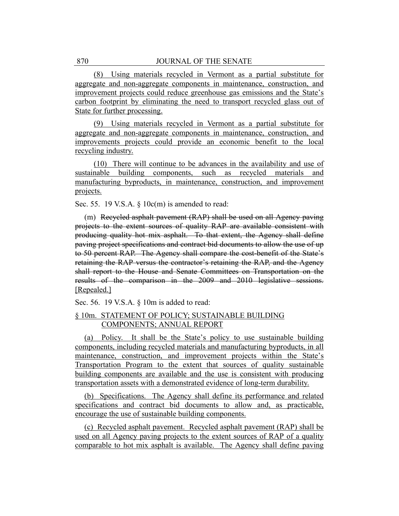(8) Using materials recycled in Vermont as a partial substitute for aggregate and non-aggregate components in maintenance, construction, and improvement projects could reduce greenhouse gas emissions and the State's carbon footprint by eliminating the need to transport recycled glass out of State for further processing.

(9) Using materials recycled in Vermont as a partial substitute for aggregate and non-aggregate components in maintenance, construction, and improvements projects could provide an economic benefit to the local recycling industry.

(10) There will continue to be advances in the availability and use of sustainable building components, such as recycled materials and manufacturing byproducts, in maintenance, construction, and improvement projects.

Sec. 55. 19 V.S.A. § 10c(m) is amended to read:

(m) Recycled asphalt pavement (RAP) shall be used on all Agency paving projects to the extent sources of quality RAP are available consistent with producing quality hot mix asphalt. To that extent, the Agency shall define paving project specifications and contract bid documents to allow the use of up to 50 percent RAP. The Agency shall compare the cost-benefit of the State's retaining the RAP versus the contractor's retaining the RAP, and the Agency shall report to the House and Senate Committees on Transportation on the results of the comparison in the 2009 and 2010 legislative sessions. [Repealed.]

Sec. 56. 19 V.S.A. § 10m is added to read:

## § 10m. STATEMENT OF POLICY; SUSTAINABLE BUILDING COMPONENTS; ANNUAL REPORT

(a) Policy. It shall be the State's policy to use sustainable building components, including recycled materials and manufacturing byproducts, in all maintenance, construction, and improvement projects within the State's Transportation Program to the extent that sources of quality sustainable building components are available and the use is consistent with producing transportation assets with a demonstrated evidence of long-term durability.

(b) Specifications. The Agency shall define its performance and related specifications and contract bid documents to allow and, as practicable, encourage the use of sustainable building components.

(c) Recycled asphalt pavement. Recycled asphalt pavement (RAP) shall be used on all Agency paving projects to the extent sources of RAP of a quality comparable to hot mix asphalt is available. The Agency shall define paving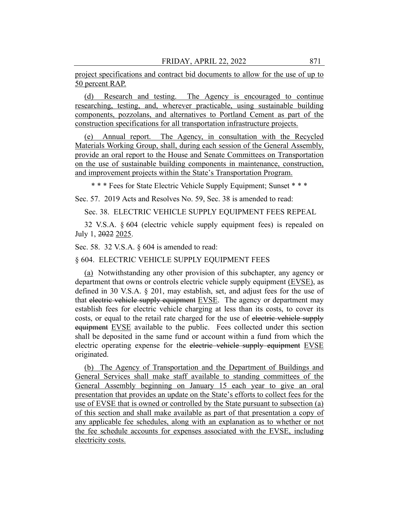project specifications and contract bid documents to allow for the use of up to 50 percent RAP.

(d) Research and testing. The Agency is encouraged to continue researching, testing, and, wherever practicable, using sustainable building components, pozzolans, and alternatives to Portland Cement as part of the construction specifications for all transportation infrastructure projects.

(e) Annual report. The Agency, in consultation with the Recycled Materials Working Group, shall, during each session of the General Assembly, provide an oral report to the House and Senate Committees on Transportation on the use of sustainable building components in maintenance, construction, and improvement projects within the State's Transportation Program.

\* \* \* Fees for State Electric Vehicle Supply Equipment; Sunset \* \* \*

Sec. 57. 2019 Acts and Resolves No. 59, Sec. 38 is amended to read:

Sec. 38. ELECTRIC VEHICLE SUPPLY EQUIPMENT FEES REPEAL

32 V.S.A. § 604 (electric vehicle supply equipment fees) is repealed on July 1, 2022 2025.

Sec. 58. 32 V.S.A. § 604 is amended to read:

#### § 604. ELECTRIC VEHICLE SUPPLY EQUIPMENT FEES

(a) Notwithstanding any other provision of this subchapter, any agency or department that owns or controls electric vehicle supply equipment (EVSE), as defined in 30 V.S.A. § 201, may establish, set, and adjust fees for the use of that electric vehicle supply equipment EVSE. The agency or department may establish fees for electric vehicle charging at less than its costs, to cover its costs, or equal to the retail rate charged for the use of electric vehicle supply equipment EVSE available to the public. Fees collected under this section shall be deposited in the same fund or account within a fund from which the electric operating expense for the electric vehicle supply equipment EVSE originated.

(b) The Agency of Transportation and the Department of Buildings and General Services shall make staff available to standing committees of the General Assembly beginning on January 15 each year to give an oral presentation that provides an update on the State's efforts to collect fees for the use of EVSE that is owned or controlled by the State pursuant to subsection (a) of this section and shall make available as part of that presentation a copy of any applicable fee schedules, along with an explanation as to whether or not the fee schedule accounts for expenses associated with the EVSE, including electricity costs.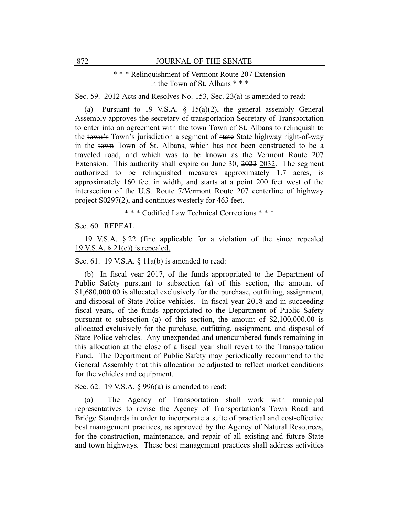## \* \* \* Relinquishment of Vermont Route 207 Extension in the Town of St. Albans \* \* \*

Sec. 59. 2012 Acts and Resolves No. 153, Sec. 23(a) is amended to read:

(a) Pursuant to 19 V.S.A.  $\S$  15(a)(2), the general assembly General Assembly approves the secretary of transportation Secretary of Transportation to enter into an agreement with the town Town of St. Albans to relinquish to the town's Town's jurisdiction a segment of state State highway right-of-way in the town Town of St. Albans, which has not been constructed to be a traveled road, and which was to be known as the Vermont Route 207 Extension. This authority shall expire on June 30, 2022 2032. The segment authorized to be relinquished measures approximately 1.7 acres, is approximately 160 feet in width, and starts at a point 200 feet west of the intersection of the U.S. Route 7/Vermont Route 207 centerline of highway project  $S0297(2)$ , and continues westerly for 463 feet.

\* \* \* Codified Law Technical Corrections \* \* \*

Sec. 60. REPEAL

19 V.S.A. § 22 (fine applicable for a violation of the since repealed 19 V.S.A.  $\S 21(c)$  is repealed.

Sec. 61. 19 V.S.A.  $\S$  11a(b) is amended to read:

(b) In fiscal year 2017, of the funds appropriated to the Department of Public Safety pursuant to subsection (a) of this section, the amount of \$1,680,000.00 is allocated exclusively for the purchase, outfitting, assignment, and disposal of State Police vehicles. In fiscal year 2018 and in succeeding fiscal years, of the funds appropriated to the Department of Public Safety pursuant to subsection (a) of this section, the amount of \$2,100,000.00 is allocated exclusively for the purchase, outfitting, assignment, and disposal of State Police vehicles. Any unexpended and unencumbered funds remaining in this allocation at the close of a fiscal year shall revert to the Transportation Fund. The Department of Public Safety may periodically recommend to the General Assembly that this allocation be adjusted to reflect market conditions for the vehicles and equipment.

Sec. 62. 19 V.S.A. § 996(a) is amended to read:

(a) The Agency of Transportation shall work with municipal representatives to revise the Agency of Transportation's Town Road and Bridge Standards in order to incorporate a suite of practical and cost-effective best management practices, as approved by the Agency of Natural Resources, for the construction, maintenance, and repair of all existing and future State and town highways. These best management practices shall address activities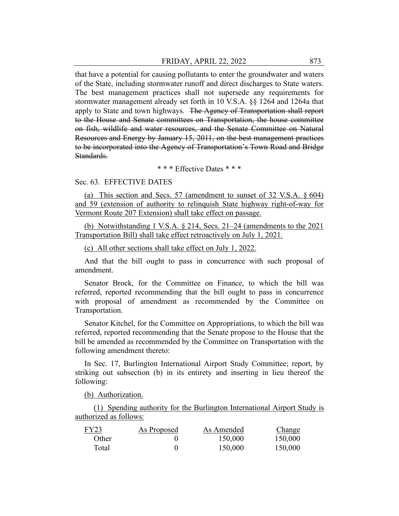that have a potential for causing pollutants to enter the groundwater and waters of the State, including stormwater runoff and direct discharges to State waters. The best management practices shall not supersede any requirements for stormwater management already set forth in 10 V.S.A. §§ 1264 and 1264a that apply to State and town highways. The Agency of Transportation shall report to the House and Senate committees on Transportation, the house committee on fish, wildlife and water resources, and the Senate Committee on Natural Resources and Energy by January 15, 2011, on the best management practices to be incorporated into the Agency of Transportation's Town Road and Bridge Standards.

\* \* \* Effective Dates \* \* \*

#### Sec. 63. EFFECTIVE DATES

(a) This section and Secs. 57 (amendment to sunset of 32 V.S.A. § 604) and 59 (extension of authority to relinquish State highway right-of-way for Vermont Route 207 Extension) shall take effect on passage.

(b) Notwithstanding 1 V.S.A. § 214, Secs. 21–24 (amendments to the 2021 Transportation Bill) shall take effect retroactively on July 1, 2021.

(c) All other sections shall take effect on July 1, 2022.

And that the bill ought to pass in concurrence with such proposal of amendment.

Senator Brock, for the Committee on Finance, to which the bill was referred, reported recommending that the bill ought to pass in concurrence with proposal of amendment as recommended by the Committee on Transportation.

Senator Kitchel, for the Committee on Appropriations, to which the bill was referred, reported recommending that the Senate propose to the House that the bill be amended as recommended by the Committee on Transportation with the following amendment thereto:

In Sec. 17, Burlington International Airport Study Committee; report, by striking out subsection (b) in its entirety and inserting in lieu thereof the following:

(b) Authorization.

(1) Spending authority for the Burlington International Airport Study is authorized as follows:

| FY23  | As Proposed | As Amended | <b>Change</b> |
|-------|-------------|------------|---------------|
| Other |             | 150,000    | 150,000       |
| Total |             | 150,000    | 150,000       |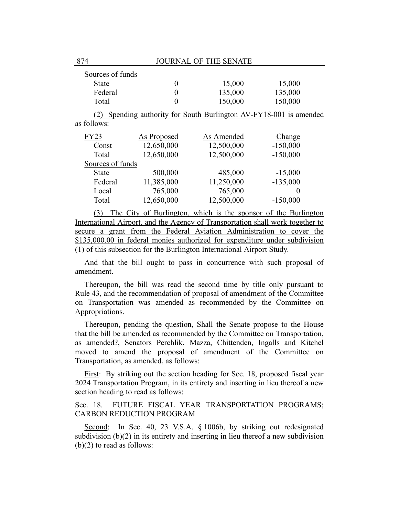| Sources of funds |                |                                                                |            |  |
|------------------|----------------|----------------------------------------------------------------|------------|--|
| State            | 0              | 15,000                                                         | 15,000     |  |
| Federal          | $\overline{0}$ | 135,000                                                        | 135,000    |  |
| Total            | 0              | 150,000                                                        | 150,000    |  |
| (2)              |                | Spending authority for South Burlington AV-FY18-001 is amended |            |  |
| as follows:      |                |                                                                |            |  |
| <b>FY23</b>      | As Proposed    | As Amended                                                     | Change     |  |
| Const            | 12,650,000     | 12,500,000                                                     | $-150,000$ |  |
| Total            | 12,650,000     | 12,500,000                                                     | $-150,000$ |  |
| Sources of funds |                |                                                                |            |  |
| <b>State</b>     | 500,000        | 485,000                                                        | $-15,000$  |  |
| Federal          | 11,385,000     | 11,250,000                                                     | $-135,000$ |  |
| Local            | 765,000        | 765,000                                                        | $\theta$   |  |
| Total            | 12,650,000     | 12,500,000                                                     | $-150,000$ |  |
|                  |                |                                                                |            |  |

(3) The City of Burlington, which is the sponsor of the Burlington International Airport, and the Agency of Transportation shall work together to secure a grant from the Federal Aviation Administration to cover the \$135,000.00 in federal monies authorized for expenditure under subdivision (1) of this subsection for the Burlington International Airport Study.

And that the bill ought to pass in concurrence with such proposal of amendment.

Thereupon, the bill was read the second time by title only pursuant to Rule 43, and the recommendation of proposal of amendment of the Committee on Transportation was amended as recommended by the Committee on Appropriations.

Thereupon, pending the question, Shall the Senate propose to the House that the bill be amended as recommended by the Committee on Transportation, as amended?, Senators Perchlik, Mazza, Chittenden, Ingalls and Kitchel moved to amend the proposal of amendment of the Committee on Transportation, as amended, as follows:

First: By striking out the section heading for Sec. 18, proposed fiscal year 2024 Transportation Program, in its entirety and inserting in lieu thereof a new section heading to read as follows:

Sec. 18. FUTURE FISCAL YEAR TRANSPORTATION PROGRAMS; CARBON REDUCTION PROGRAM

Second: In Sec. 40, 23 V.S.A. § 1006b, by striking out redesignated subdivision  $(b)(2)$  in its entirety and inserting in lieu thereof a new subdivision (b)(2) to read as follows: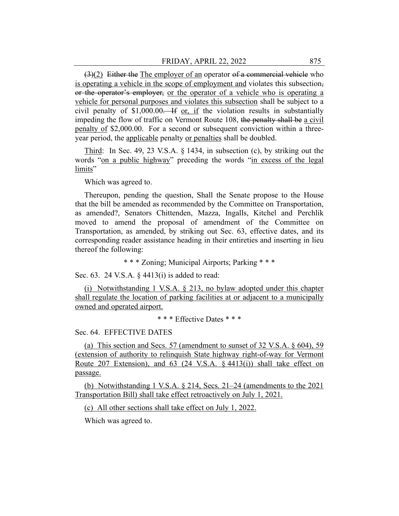$(3)(2)$  Either the The employer of an operator of a commercial vehicle who is operating a vehicle in the scope of employment and violates this subsection, or the operator's employer, or the operator of a vehicle who is operating a vehicle for personal purposes and violates this subsection shall be subject to a civil penalty of  $$1,000.00$ . If or, if the violation results in substantially impeding the flow of traffic on Vermont Route 108, the penalty shall be a civil penalty of \$2,000.00. For a second or subsequent conviction within a threeyear period, the applicable penalty or penalties shall be doubled.

Third: In Sec. 49, 23 V.S.A. § 1434, in subsection (c), by striking out the words "on a public highway" preceding the words "in excess of the legal limits"

Which was agreed to.

Thereupon, pending the question, Shall the Senate propose to the House that the bill be amended as recommended by the Committee on Transportation, as amended?, Senators Chittenden, Mazza, Ingalls, Kitchel and Perchlik moved to amend the proposal of amendment of the Committee on Transportation, as amended, by striking out Sec. 63, effective dates, and its corresponding reader assistance heading in their entireties and inserting in lieu thereof the following:

\* \* \* Zoning; Municipal Airports; Parking \* \* \*

Sec. 63. 24 V.S.A. § 4413(i) is added to read:

(i) Notwithstanding 1 V.S.A. § 213, no bylaw adopted under this chapter shall regulate the location of parking facilities at or adjacent to a municipally owned and operated airport.

\* \* \* Effective Dates \* \* \*

Sec. 64. EFFECTIVE DATES

(a) This section and Secs. 57 (amendment to sunset of 32 V.S.A. § 604), 59 (extension of authority to relinquish State highway right-of-way for Vermont Route 207 Extension), and 63 (24 V.S.A. § 4413(i)) shall take effect on passage.

(b) Notwithstanding 1 V.S.A. § 214, Secs. 21–24 (amendments to the 2021 Transportation Bill) shall take effect retroactively on July 1, 2021.

(c) All other sections shall take effect on July 1, 2022.

Which was agreed to.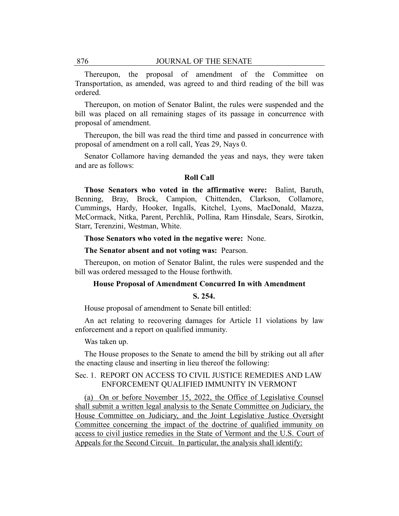Thereupon, the proposal of amendment of the Committee on Transportation, as amended, was agreed to and third reading of the bill was ordered.

Thereupon, on motion of Senator Balint, the rules were suspended and the bill was placed on all remaining stages of its passage in concurrence with proposal of amendment.

Thereupon, the bill was read the third time and passed in concurrence with proposal of amendment on a roll call, Yeas 29, Nays 0.

Senator Collamore having demanded the yeas and nays, they were taken and are as follows:

#### **Roll Call**

**Those Senators who voted in the affirmative were:** Balint, Baruth, Benning, Bray, Brock, Campion, Chittenden, Clarkson, Collamore, Cummings, Hardy, Hooker, Ingalls, Kitchel, Lyons, MacDonald, Mazza, McCormack, Nitka, Parent, Perchlik, Pollina, Ram Hinsdale, Sears, Sirotkin, Starr, Terenzini, Westman, White.

#### **Those Senators who voted in the negative were:** None.

**The Senator absent and not voting was:** Pearson.

Thereupon, on motion of Senator Balint, the rules were suspended and the bill was ordered messaged to the House forthwith.

#### **House Proposal of Amendment Concurred In with Amendment**

#### **S. 254.**

House proposal of amendment to Senate bill entitled:

An act relating to recovering damages for Article 11 violations by law enforcement and a report on qualified immunity.

Was taken up.

The House proposes to the Senate to amend the bill by striking out all after the enacting clause and inserting in lieu thereof the following:

## Sec. 1. REPORT ON ACCESS TO CIVIL JUSTICE REMEDIES AND LAW ENFORCEMENT QUALIFIED IMMUNITY IN VERMONT

(a) On or before November 15, 2022, the Office of Legislative Counsel shall submit a written legal analysis to the Senate Committee on Judiciary, the House Committee on Judiciary, and the Joint Legislative Justice Oversight Committee concerning the impact of the doctrine of qualified immunity on access to civil justice remedies in the State of Vermont and the U.S. Court of Appeals for the Second Circuit. In particular, the analysis shall identify: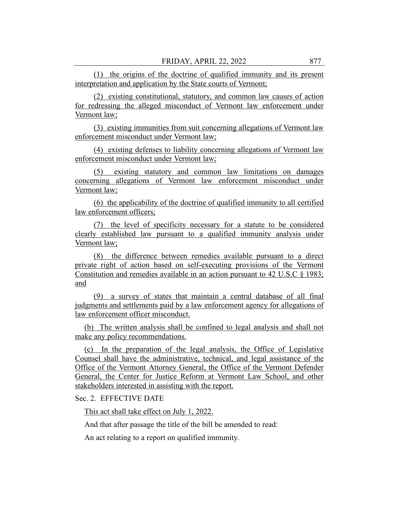(1) the origins of the doctrine of qualified immunity and its present interpretation and application by the State courts of Vermont;

(2) existing constitutional, statutory, and common law causes of action for redressing the alleged misconduct of Vermont law enforcement under Vermont law;

(3) existing immunities from suit concerning allegations of Vermont law enforcement misconduct under Vermont law;

(4) existing defenses to liability concerning allegations of Vermont law enforcement misconduct under Vermont law;

(5) existing statutory and common law limitations on damages concerning allegations of Vermont law enforcement misconduct under Vermont law;

(6) the applicability of the doctrine of qualified immunity to all certified law enforcement officers;

(7) the level of specificity necessary for a statute to be considered clearly established law pursuant to a qualified immunity analysis under Vermont law;

(8) the difference between remedies available pursuant to a direct private right of action based on self-executing provisions of the Vermont Constitution and remedies available in an action pursuant to 42 U.S.C § 1983; and

(9) a survey of states that maintain a central database of all final judgments and settlements paid by a law enforcement agency for allegations of law enforcement officer misconduct.

(b) The written analysis shall be confined to legal analysis and shall not make any policy recommendations.

(c) In the preparation of the legal analysis, the Office of Legislative Counsel shall have the administrative, technical, and legal assistance of the Office of the Vermont Attorney General, the Office of the Vermont Defender General, the Center for Justice Reform at Vermont Law School, and other stakeholders interested in assisting with the report.

Sec. 2. EFFECTIVE DATE

This act shall take effect on July 1, 2022.

And that after passage the title of the bill be amended to read:

An act relating to a report on qualified immunity.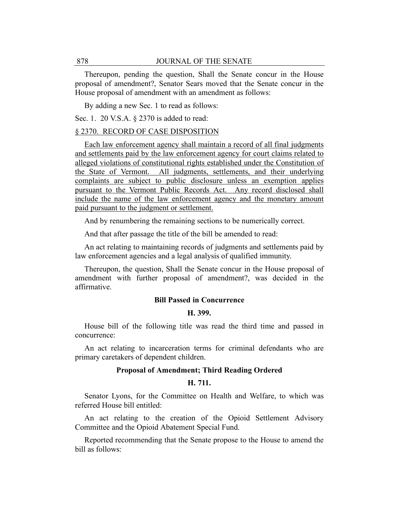Thereupon, pending the question, Shall the Senate concur in the House proposal of amendment?, Senator Sears moved that the Senate concur in the House proposal of amendment with an amendment as follows:

By adding a new Sec. 1 to read as follows:

Sec. 1. 20 V.S.A. § 2370 is added to read:

## § 2370. RECORD OF CASE DISPOSITION

Each law enforcement agency shall maintain a record of all final judgments and settlements paid by the law enforcement agency for court claims related to alleged violations of constitutional rights established under the Constitution of the State of Vermont. All judgments, settlements, and their underlying complaints are subject to public disclosure unless an exemption applies pursuant to the Vermont Public Records Act. Any record disclosed shall include the name of the law enforcement agency and the monetary amount paid pursuant to the judgment or settlement.

And by renumbering the remaining sections to be numerically correct.

And that after passage the title of the bill be amended to read:

An act relating to maintaining records of judgments and settlements paid by law enforcement agencies and a legal analysis of qualified immunity.

Thereupon, the question, Shall the Senate concur in the House proposal of amendment with further proposal of amendment?, was decided in the affirmative.

#### **Bill Passed in Concurrence**

#### **H. 399.**

House bill of the following title was read the third time and passed in concurrence:

An act relating to incarceration terms for criminal defendants who are primary caretakers of dependent children.

## **Proposal of Amendment; Third Reading Ordered**

## **H. 711.**

Senator Lyons, for the Committee on Health and Welfare, to which was referred House bill entitled:

An act relating to the creation of the Opioid Settlement Advisory Committee and the Opioid Abatement Special Fund.

Reported recommending that the Senate propose to the House to amend the bill as follows: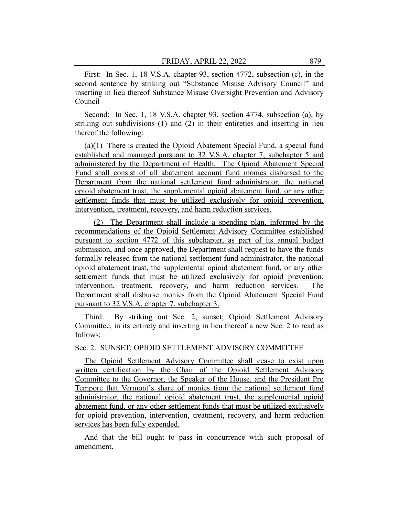First: In Sec. 1, 18 V.S.A. chapter 93, section 4772, subsection (c), in the second sentence by striking out "Substance Misuse Advisory Council" and inserting in lieu thereof Substance Misuse Oversight Prevention and Advisory Council

Second: In Sec. 1, 18 V.S.A. chapter 93, section 4774, subsection (a), by striking out subdivisions (1) and (2) in their entireties and inserting in lieu thereof the following:

(a)(1) There is created the Opioid Abatement Special Fund, a special fund established and managed pursuant to 32 V.S.A. chapter 7, subchapter 5 and administered by the Department of Health. The Opioid Abatement Special Fund shall consist of all abatement account fund monies disbursed to the Department from the national settlement fund administrator, the national opioid abatement trust, the supplemental opioid abatement fund, or any other settlement funds that must be utilized exclusively for opioid prevention, intervention, treatment, recovery, and harm reduction services.

(2) The Department shall include a spending plan, informed by the recommendations of the Opioid Settlement Advisory Committee established pursuant to section 4772 of this subchapter, as part of its annual budget submission, and once approved, the Department shall request to have the funds formally released from the national settlement fund administrator, the national opioid abatement trust, the supplemental opioid abatement fund, or any other settlement funds that must be utilized exclusively for opioid prevention, intervention, treatment, recovery, and harm reduction services. The Department shall disburse monies from the Opioid Abatement Special Fund pursuant to 32 V.S.A. chapter 7, subchapter 3.

Third: By striking out Sec. 2, sunset; Opioid Settlement Advisory Committee, in its entirety and inserting in lieu thereof a new Sec. 2 to read as follows:

#### Sec. 2. SUNSET; OPIOID SETTLEMENT ADVISORY COMMITTEE

The Opioid Settlement Advisory Committee shall cease to exist upon written certification by the Chair of the Opioid Settlement Advisory Committee to the Governor, the Speaker of the House, and the President Pro Tempore that Vermont's share of monies from the national settlement fund administrator, the national opioid abatement trust, the supplemental opioid abatement fund, or any other settlement funds that must be utilized exclusively for opioid prevention, intervention, treatment, recovery, and harm reduction services has been fully expended.

And that the bill ought to pass in concurrence with such proposal of amendment.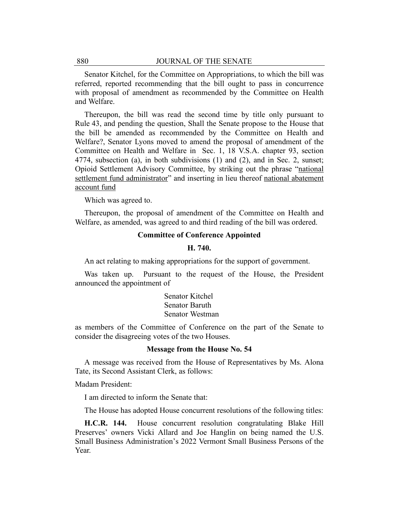Senator Kitchel, for the Committee on Appropriations, to which the bill was referred, reported recommending that the bill ought to pass in concurrence with proposal of amendment as recommended by the Committee on Health and Welfare.

Thereupon, the bill was read the second time by title only pursuant to Rule 43, and pending the question, Shall the Senate propose to the House that the bill be amended as recommended by the Committee on Health and Welfare?, Senator Lyons moved to amend the proposal of amendment of the Committee on Health and Welfare in Sec. 1, 18 V.S.A. chapter 93, section 4774, subsection (a), in both subdivisions (1) and (2), and in Sec. 2, sunset; Opioid Settlement Advisory Committee, by striking out the phrase "national settlement fund administrator" and inserting in lieu thereof national abatement account fund

Which was agreed to.

Thereupon, the proposal of amendment of the Committee on Health and Welfare, as amended, was agreed to and third reading of the bill was ordered.

## **Committee of Conference Appointed**

#### **H. 740.**

An act relating to making appropriations for the support of government.

Was taken up. Pursuant to the request of the House, the President announced the appointment of

> Senator Kitchel Senator Baruth Senator Westman

as members of the Committee of Conference on the part of the Senate to consider the disagreeing votes of the two Houses.

#### **Message from the House No. 54**

A message was received from the House of Representatives by Ms. Alona Tate, its Second Assistant Clerk, as follows:

Madam President:

I am directed to inform the Senate that:

The House has adopted House concurrent resolutions of the following titles:

**H.C.R. 144.** House concurrent resolution congratulating Blake Hill Preserves' owners Vicki Allard and Joe Hanglin on being named the U.S. Small Business Administration's 2022 Vermont Small Business Persons of the Year.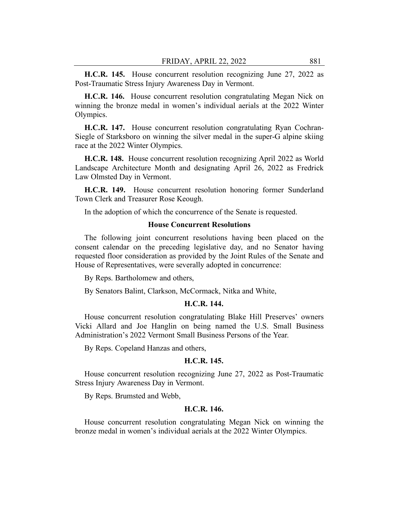**H.C.R. 145.** House concurrent resolution recognizing June 27, 2022 as Post-Traumatic Stress Injury Awareness Day in Vermont.

**H.C.R. 146.** House concurrent resolution congratulating Megan Nick on winning the bronze medal in women's individual aerials at the 2022 Winter Olympics.

**H.C.R. 147.** House concurrent resolution congratulating Ryan Cochran-Siegle of Starksboro on winning the silver medal in the super-G alpine skiing race at the 2022 Winter Olympics.

**H.C.R. 148.** House concurrent resolution recognizing April 2022 as World Landscape Architecture Month and designating April 26, 2022 as Fredrick Law Olmsted Day in Vermont.

**H.C.R. 149.** House concurrent resolution honoring former Sunderland Town Clerk and Treasurer Rose Keough.

In the adoption of which the concurrence of the Senate is requested.

#### **House Concurrent Resolutions**

The following joint concurrent resolutions having been placed on the consent calendar on the preceding legislative day, and no Senator having requested floor consideration as provided by the Joint Rules of the Senate and House of Representatives, were severally adopted in concurrence:

By Reps. Bartholomew and others,

By Senators Balint, Clarkson, McCormack, Nitka and White,

#### **H.C.R. 144.**

House concurrent resolution congratulating Blake Hill Preserves' owners Vicki Allard and Joe Hanglin on being named the U.S. Small Business Administration's 2022 Vermont Small Business Persons of the Year.

By Reps. Copeland Hanzas and others,

#### **H.C.R. 145.**

House concurrent resolution recognizing June 27, 2022 as Post-Traumatic Stress Injury Awareness Day in Vermont.

By Reps. Brumsted and Webb,

#### **H.C.R. 146.**

House concurrent resolution congratulating Megan Nick on winning the bronze medal in women's individual aerials at the 2022 Winter Olympics.